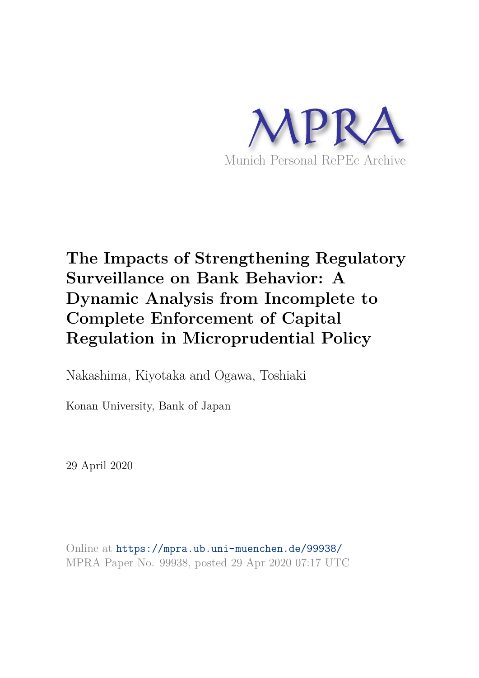

# **The Impacts of Strengthening Regulatory Surveillance on Bank Behavior: A Dynamic Analysis from Incomplete to Complete Enforcement of Capital Regulation in Microprudential Policy**

Nakashima, Kiyotaka and Ogawa, Toshiaki

Konan University, Bank of Japan

29 April 2020

Online at https://mpra.ub.uni-muenchen.de/99938/ MPRA Paper No. 99938, posted 29 Apr 2020 07:17 UTC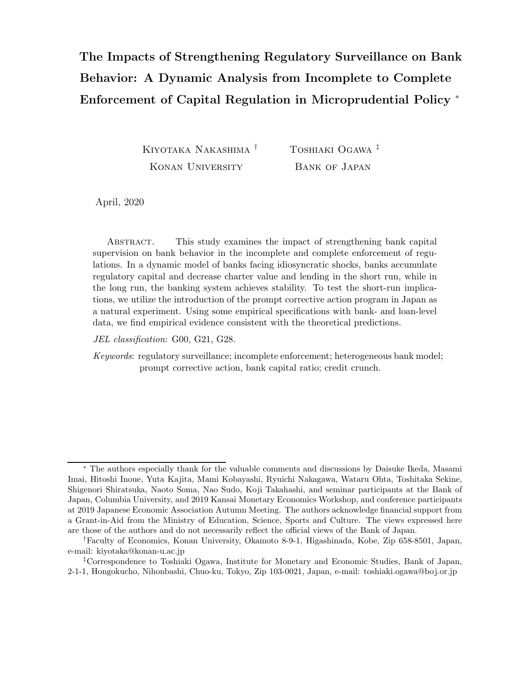# The Impacts of Strengthening Regulatory Surveillance on Bank Behavior: A Dynamic Analysis from Incomplete to Complete Enforcement of Capital Regulation in Microprudential Policy <sup>∗</sup>

Kiyotaka Nakashima<sup>†</sup> Konan University Toshiaki Ogawa ‡ Bank of Japan

April, 2020

Abstract. This study examines the impact of strengthening bank capital supervision on bank behavior in the incomplete and complete enforcement of regulations. In a dynamic model of banks facing idiosyncratic shocks, banks accumulate regulatory capital and decrease charter value and lending in the short run, while in the long run, the banking system achieves stability. To test the short-run implications, we utilize the introduction of the prompt corrective action program in Japan as a natural experiment. Using some empirical specifications with bank- and loan-level data, we find empirical evidence consistent with the theoretical predictions.

JEL classification: G00, G21, G28.

Keywords: regulatory surveillance; incomplete enforcement; heterogeneous bank model; prompt corrective action, bank capital ratio; credit crunch.

<sup>∗</sup> The authors especially thank for the valuable comments and discussions by Daisuke Ikeda, Masami Imai, Hitoshi Inoue, Yuta Kajita, Mami Kobayashi, Ryuichi Nakagawa, Wataru Ohta, Toshitaka Sekine, Shigenori Shiratsuka, Naoto Soma, Nao Sudo, Koji Takahashi, and seminar participants at the Bank of Japan, Columbia University, and 2019 Kansai Monetary Economics Workshop, and conference participants at 2019 Japanese Economic Association Autumn Meeting. The authors acknowledge financial support from a Grant-in-Aid from the Ministry of Education, Science, Sports and Culture. The views expressed here are those of the authors and do not necessarily reflect the official views of the Bank of Japan.

<sup>†</sup>Faculty of Economics, Konan University, Okamoto 8-9-1, Higashinada, Kobe, Zip 658-8501, Japan, e-mail: kiyotaka@konan-u.ac.jp

<sup>‡</sup>Correspondence to Toshiaki Ogawa, Institute for Monetary and Economic Studies, Bank of Japan, 2-1-1, Hongokucho, Nihonbashi, Chuo-ku, Tokyo, Zip 103-0021, Japan, e-mail: toshiaki.ogawa@bo j.or.jp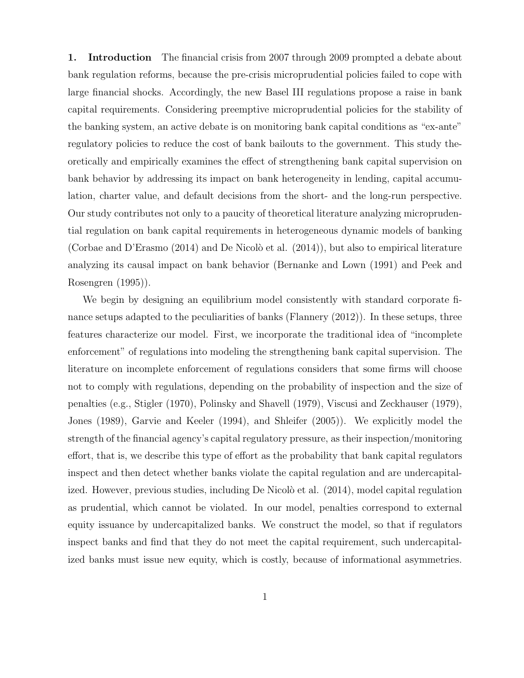1. Introduction The financial crisis from 2007 through 2009 prompted a debate about bank regulation reforms, because the pre-crisis microprudential policies failed to cope with large financial shocks. Accordingly, the new Basel III regulations propose a raise in bank capital requirements. Considering preemptive microprudential policies for the stability of the banking system, an active debate is on monitoring bank capital conditions as "ex-ante" regulatory policies to reduce the cost of bank bailouts to the government. This study theoretically and empirically examines the effect of strengthening bank capital supervision on bank behavior by addressing its impact on bank heterogeneity in lending, capital accumulation, charter value, and default decisions from the short- and the long-run perspective. Our study contributes not only to a paucity of theoretical literature analyzing microprudential regulation on bank capital requirements in heterogeneous dynamic models of banking (Corbae and D'Erasmo  $(2014)$  and De Nicolò et al.  $(2014)$ ), but also to empirical literature analyzing its causal impact on bank behavior (Bernanke and Lown (1991) and Peek and Rosengren (1995)).

We begin by designing an equilibrium model consistently with standard corporate finance setups adapted to the peculiarities of banks (Flannery (2012)). In these setups, three features characterize our model. First, we incorporate the traditional idea of "incomplete enforcement" of regulations into modeling the strengthening bank capital supervision. The literature on incomplete enforcement of regulations considers that some firms will choose not to comply with regulations, depending on the probability of inspection and the size of penalties (e.g., Stigler (1970), Polinsky and Shavell (1979), Viscusi and Zeckhauser (1979), Jones (1989), Garvie and Keeler (1994), and Shleifer (2005)). We explicitly model the strength of the financial agency's capital regulatory pressure, as their inspection/monitoring effort, that is, we describe this type of effort as the probability that bank capital regulators inspect and then detect whether banks violate the capital regulation and are undercapitalized. However, previous studies, including De Nicolò et al. (2014), model capital regulation as prudential, which cannot be violated. In our model, penalties correspond to external equity issuance by undercapitalized banks. We construct the model, so that if regulators inspect banks and find that they do not meet the capital requirement, such undercapitalized banks must issue new equity, which is costly, because of informational asymmetries.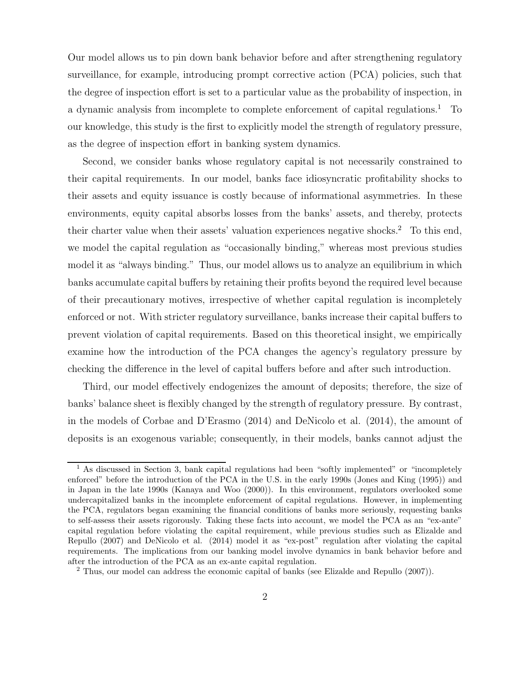Our model allows us to pin down bank behavior before and after strengthening regulatory surveillance, for example, introducing prompt corrective action (PCA) policies, such that the degree of inspection effort is set to a particular value as the probability of inspection, in a dynamic analysis from incomplete to complete enforcement of capital regulations.<sup>1</sup> To our knowledge, this study is the first to explicitly model the strength of regulatory pressure, as the degree of inspection effort in banking system dynamics.

Second, we consider banks whose regulatory capital is not necessarily constrained to their capital requirements. In our model, banks face idiosyncratic profitability shocks to their assets and equity issuance is costly because of informational asymmetries. In these environments, equity capital absorbs losses from the banks' assets, and thereby, protects their charter value when their assets' valuation experiences negative shocks. <sup>2</sup> To this end, we model the capital regulation as "occasionally binding," whereas most previous studies model it as "always binding." Thus, our model allows us to analyze an equilibrium in which banks accumulate capital buffers by retaining their profits beyond the required level because of their precautionary motives, irrespective of whether capital regulation is incompletely enforced or not. With stricter regulatory surveillance, banks increase their capital buffers to prevent violation of capital requirements. Based on this theoretical insight, we empirically examine how the introduction of the PCA changes the agency's regulatory pressure by checking the difference in the level of capital buffers before and after such introduction.

Third, our model effectively endogenizes the amount of deposits; therefore, the size of banks' balance sheet is flexibly changed by the strength of regulatory pressure. By contrast, in the models of Corbae and D'Erasmo (2014) and DeNicolo et al. (2014), the amount of deposits is an exogenous variable; consequently, in their models, banks cannot adjust the

<sup>&</sup>lt;sup>1</sup> As discussed in Section 3, bank capital regulations had been "softly implemented" or "incompletely" enforced" before the introduction of the PCA in the U.S. in the early 1990s (Jones and King (1995)) and in Japan in the late 1990s (Kanaya and Woo (2000)). In this environment, regulators overlooked some undercapitalized banks in the incomplete enforcement of capital regulations. However, in implementing the PCA, regulators began examining the financial conditions of banks more seriously, requesting banks to self-assess their assets rigorously. Taking these facts into account, we model the PCA as an "ex-ante" capital regulation before violating the capital requirement, while previous studies such as Elizalde and Repullo (2007) and DeNicolo et al. (2014) model it as "ex-post" regulation after violating the capital requirements. The implications from our banking model involve dynamics in bank behavior before and after the introduction of the PCA as an ex-ante capital regulation.

<sup>2</sup> Thus, our model can address the economic capital of banks (see Elizalde and Repullo (2007)).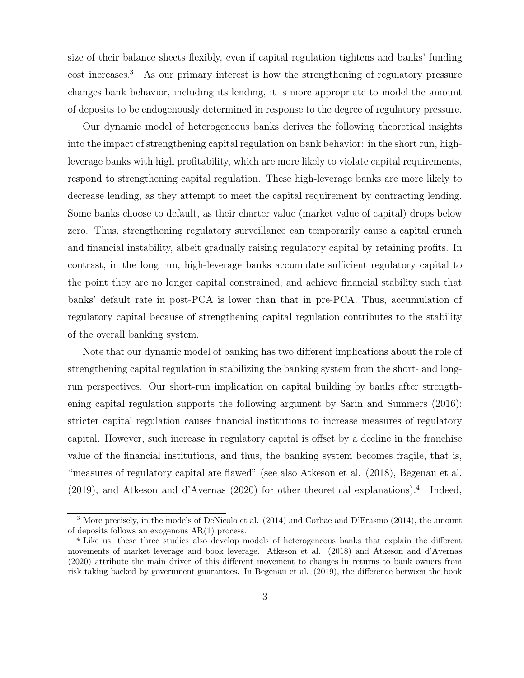size of their balance sheets flexibly, even if capital regulation tightens and banks' funding cost increases.<sup>3</sup> As our primary interest is how the strengthening of regulatory pressure changes bank behavior, including its lending, it is more appropriate to model the amount of deposits to be endogenously determined in response to the degree of regulatory pressure.

Our dynamic model of heterogeneous banks derives the following theoretical insights into the impact of strengthening capital regulation on bank behavior: in the short run, highleverage banks with high profitability, which are more likely to violate capital requirements, respond to strengthening capital regulation. These high-leverage banks are more likely to decrease lending, as they attempt to meet the capital requirement by contracting lending. Some banks choose to default, as their charter value (market value of capital) drops below zero. Thus, strengthening regulatory surveillance can temporarily cause a capital crunch and financial instability, albeit gradually raising regulatory capital by retaining profits. In contrast, in the long run, high-leverage banks accumulate sufficient regulatory capital to the point they are no longer capital constrained, and achieve financial stability such that banks' default rate in post-PCA is lower than that in pre-PCA. Thus, accumulation of regulatory capital because of strengthening capital regulation contributes to the stability of the overall banking system.

Note that our dynamic model of banking has two different implications about the role of strengthening capital regulation in stabilizing the banking system from the short- and longrun perspectives. Our short-run implication on capital building by banks after strengthening capital regulation supports the following argument by Sarin and Summers (2016): stricter capital regulation causes financial institutions to increase measures of regulatory capital. However, such increase in regulatory capital is offset by a decline in the franchise value of the financial institutions, and thus, the banking system becomes fragile, that is, "measures of regulatory capital are flawed" (see also Atkeson et al. (2018), Begenau et al.  $(2019)$ , and Atkeson and d'Avernas  $(2020)$  for other theoretical explanations).<sup>4</sup> Indeed,

<sup>3</sup> More precisely, in the models of DeNicolo et al. (2014) and Corbae and D'Erasmo (2014), the amount of deposits follows an exogenous AR(1) process.

<sup>4</sup> Like us, these three studies also develop models of heterogeneous banks that explain the different movements of market leverage and book leverage. Atkeson et al. (2018) and Atkeson and d'Avernas (2020) attribute the main driver of this different movement to changes in returns to bank owners from risk taking backed by government guarantees. In Begenau et al. (2019), the difference between the book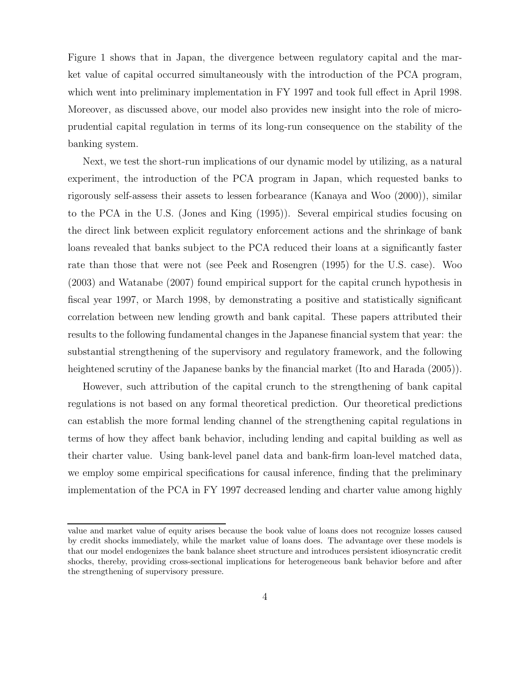Figure 1 shows that in Japan, the divergence between regulatory capital and the market value of capital occurred simultaneously with the introduction of the PCA program, which went into preliminary implementation in FY 1997 and took full effect in April 1998. Moreover, as discussed above, our model also provides new insight into the role of microprudential capital regulation in terms of its long-run consequence on the stability of the banking system.

Next, we test the short-run implications of our dynamic model by utilizing, as a natural experiment, the introduction of the PCA program in Japan, which requested banks to rigorously self-assess their assets to lessen forbearance (Kanaya and Woo (2000)), similar to the PCA in the U.S. (Jones and King (1995)). Several empirical studies focusing on the direct link between explicit regulatory enforcement actions and the shrinkage of bank loans revealed that banks subject to the PCA reduced their loans at a significantly faster rate than those that were not (see Peek and Rosengren (1995) for the U.S. case). Woo (2003) and Watanabe (2007) found empirical support for the capital crunch hypothesis in fiscal year 1997, or March 1998, by demonstrating a positive and statistically significant correlation between new lending growth and bank capital. These papers attributed their results to the following fundamental changes in the Japanese financial system that year: the substantial strengthening of the supervisory and regulatory framework, and the following heightened scrutiny of the Japanese banks by the financial market (Ito and Harada (2005)).

However, such attribution of the capital crunch to the strengthening of bank capital regulations is not based on any formal theoretical prediction. Our theoretical predictions can establish the more formal lending channel of the strengthening capital regulations in terms of how they affect bank behavior, including lending and capital building as well as their charter value. Using bank-level panel data and bank-firm loan-level matched data, we employ some empirical specifications for causal inference, finding that the preliminary implementation of the PCA in FY 1997 decreased lending and charter value among highly

value and market value of equity arises because the book value of loans does not recognize losses caused by credit shocks immediately, while the market value of loans does. The advantage over these models is that our model endogenizes the bank balance sheet structure and introduces persistent idiosyncratic credit shocks, thereby, providing cross-sectional implications for heterogeneous bank behavior before and after the strengthening of supervisory pressure.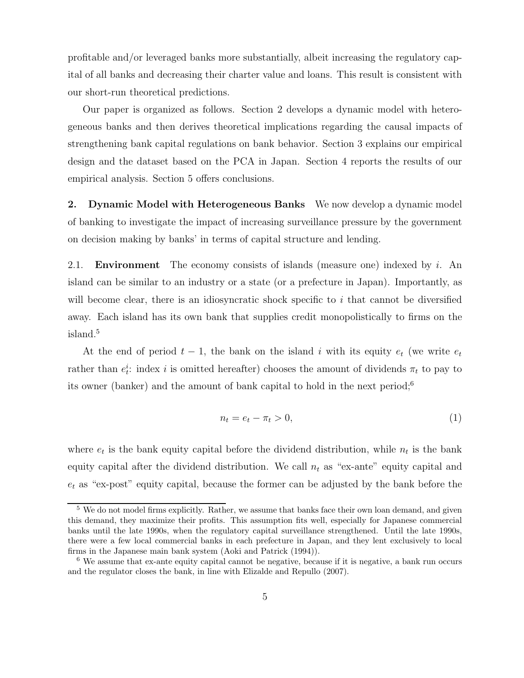profitable and/or leveraged banks more substantially, albeit increasing the regulatory capital of all banks and decreasing their charter value and loans. This result is consistent with our short-run theoretical predictions.

Our paper is organized as follows. Section 2 develops a dynamic model with heterogeneous banks and then derives theoretical implications regarding the causal impacts of strengthening bank capital regulations on bank behavior. Section 3 explains our empirical design and the dataset based on the PCA in Japan. Section 4 reports the results of our empirical analysis. Section 5 offers conclusions.

2. Dynamic Model with Heterogeneous Banks We now develop a dynamic model of banking to investigate the impact of increasing surveillance pressure by the government on decision making by banks' in terms of capital structure and lending.

2.1. **Environment** The economy consists of islands (measure one) indexed by i. An island can be similar to an industry or a state (or a prefecture in Japan). Importantly, as will become clear, there is an idiosyncratic shock specific to  $i$  that cannot be diversified away. Each island has its own bank that supplies credit monopolistically to firms on the island.<sup>5</sup>

At the end of period  $t - 1$ , the bank on the island i with its equity  $e_t$  (we write  $e_t$ rather than  $e_t^i$ : index *i* is omitted hereafter) chooses the amount of dividends  $\pi_t$  to pay to its owner (banker) and the amount of bank capital to hold in the next period;<sup>6</sup>

$$
n_t = e_t - \pi_t > 0,\t\t(1)
$$

where  $e_t$  is the bank equity capital before the dividend distribution, while  $n_t$  is the bank equity capital after the dividend distribution. We call  $n_t$  as "ex-ante" equity capital and  $e_t$  as "ex-post" equity capital, because the former can be adjusted by the bank before the

<sup>&</sup>lt;sup>5</sup> We do not model firms explicitly. Rather, we assume that banks face their own loan demand, and given this demand, they maximize their profits. This assumption fits well, especially for Japanese commercial banks until the late 1990s, when the regulatory capital surveillance strengthened. Until the late 1990s, there were a few local commercial banks in each prefecture in Japan, and they lent exclusively to local firms in the Japanese main bank system (Aoki and Patrick (1994)).

<sup>6</sup> We assume that ex-ante equity capital cannot be negative, because if it is negative, a bank run occurs and the regulator closes the bank, in line with Elizalde and Repullo (2007).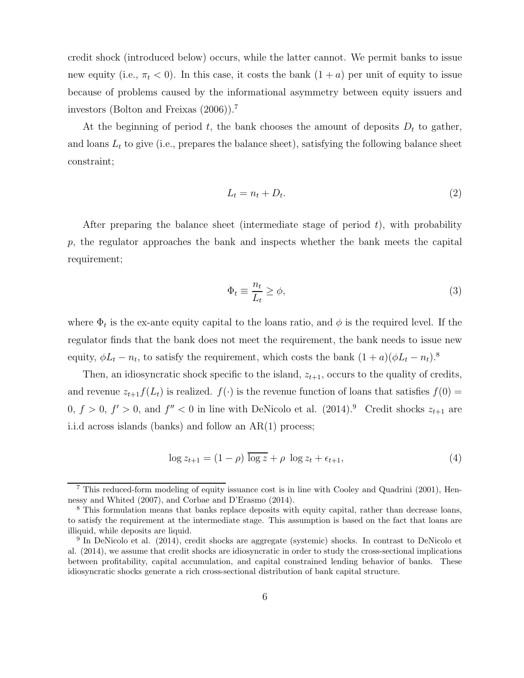credit shock (introduced below) occurs, while the latter cannot. We permit banks to issue new equity (i.e.,  $\pi_t < 0$ ). In this case, it costs the bank  $(1 + a)$  per unit of equity to issue because of problems caused by the informational asymmetry between equity issuers and investors (Bolton and Freixas (2006)).<sup>7</sup>

At the beginning of period t, the bank chooses the amount of deposits  $D_t$  to gather, and loans  $L_t$  to give (i.e., prepares the balance sheet), satisfying the following balance sheet constraint;

$$
L_t = n_t + D_t. \tag{2}
$$

After preparing the balance sheet (intermediate stage of period  $t$ ), with probability  $p$ , the regulator approaches the bank and inspects whether the bank meets the capital requirement;

$$
\Phi_t \equiv \frac{n_t}{L_t} \ge \phi,\tag{3}
$$

where  $\Phi_t$  is the ex-ante equity capital to the loans ratio, and  $\phi$  is the required level. If the regulator finds that the bank does not meet the requirement, the bank needs to issue new equity,  $\phi L_t - n_t$ , to satisfy the requirement, which costs the bank  $(1 + a)(\phi L_t - n_t)^8$ .

Then, an idiosyncratic shock specific to the island,  $z_{t+1}$ , occurs to the quality of credits, and revenue  $z_{t+1}f(L_t)$  is realized.  $f(\cdot)$  is the revenue function of loans that satisfies  $f(0)$  =  $0, f > 0, f' > 0$ , and  $f'' < 0$  in line with DeNicolo et al.  $(2014).<sup>9</sup>$  Credit shocks  $z_{t+1}$  are i.i.d across islands (banks) and follow an AR(1) process;

$$
\log z_{t+1} = (1 - \rho) \overline{\log z} + \rho \log z_t + \epsilon_{t+1},\tag{4}
$$

<sup>7</sup> This reduced-form modeling of equity issuance cost is in line with Cooley and Quadrini (2001), Hennessy and Whited (2007), and Corbae and D'Erasmo (2014).

<sup>&</sup>lt;sup>8</sup> This formulation means that banks replace deposits with equity capital, rather than decrease loans, to satisfy the requirement at the intermediate stage. This assumption is based on the fact that loans are illiquid, while deposits are liquid.

 $9^9$  In DeNicolo et al. (2014), credit shocks are aggregate (systemic) shocks. In contrast to DeNicolo et al. (2014), we assume that credit shocks are idiosyncratic in order to study the cross-sectional implications between profitability, capital accumulation, and capital constrained lending behavior of banks. These idiosyncratic shocks generate a rich cross-sectional distribution of bank capital structure.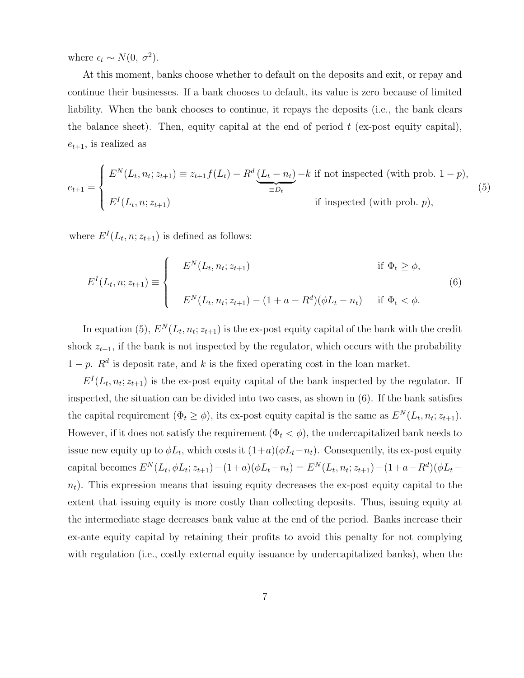where  $\epsilon_t \sim N(0, \sigma^2)$ .

At this moment, banks choose whether to default on the deposits and exit, or repay and continue their businesses. If a bank chooses to default, its value is zero because of limited liability. When the bank chooses to continue, it repays the deposits (i.e., the bank clears the balance sheet). Then, equity capital at the end of period  $t$  (ex-post equity capital),  $e_{t+1}$ , is realized as

$$
e_{t+1} = \begin{cases} E^N(L_t, n_t; z_{t+1}) \equiv z_{t+1} f(L_t) - R^d \underbrace{(L_t - n_t)}_{\equiv D_t} - k \text{ if not inspected (with prob. 1 - p)},\\ E^I(L_t, n; z_{t+1}) & \text{if inspected (with prob. p)}, \end{cases}
$$
(5)

where  $E^{I}(L_{t}, n; z_{t+1})$  is defined as follows:

$$
E^{I}(L_{t}, n; z_{t+1}) \equiv \begin{cases} E^{N}(L_{t}, n_{t}; z_{t+1}) & \text{if } \Phi_{t} \geq \phi, \\ E^{N}(L_{t}, n_{t}; z_{t+1}) - (1 + a - R^{d})(\phi L_{t} - n_{t}) & \text{if } \Phi_{t} < \phi. \end{cases}
$$
(6)

In equation (5),  $E^{N}(L_t, n_t; z_{t+1})$  is the ex-post equity capital of the bank with the credit shock  $z_{t+1}$ , if the bank is not inspected by the regulator, which occurs with the probability  $1 - p$ .  $R<sup>d</sup>$  is deposit rate, and k is the fixed operating cost in the loan market.

 $E^I(L_t, n_t; z_{t+1})$  is the ex-post equity capital of the bank inspected by the regulator. If inspected, the situation can be divided into two cases, as shown in (6). If the bank satisfies the capital requirement  $(\Phi_t \ge \phi)$ , its ex-post equity capital is the same as  $E^N(L_t, n_t; z_{t+1})$ . However, if it does not satisfy the requirement  $(\Phi_t < \phi)$ , the undercapitalized bank needs to issue new equity up to  $\phi L_t$ , which costs it  $(1+a)(\phi L_t-n_t)$ . Consequently, its ex-post equity capital becomes  $E^N(L_t, \phi L_t; z_{t+1}) - (1+a)(\phi L_t - n_t) = E^N(L_t, n_t; z_{t+1}) - (1+a-R_d)(\phi L_t - n_t)$  $n<sub>t</sub>$ ). This expression means that issuing equity decreases the ex-post equity capital to the extent that issuing equity is more costly than collecting deposits. Thus, issuing equity at the intermediate stage decreases bank value at the end of the period. Banks increase their ex-ante equity capital by retaining their profits to avoid this penalty for not complying with regulation (i.e., costly external equity issuance by undercapitalized banks), when the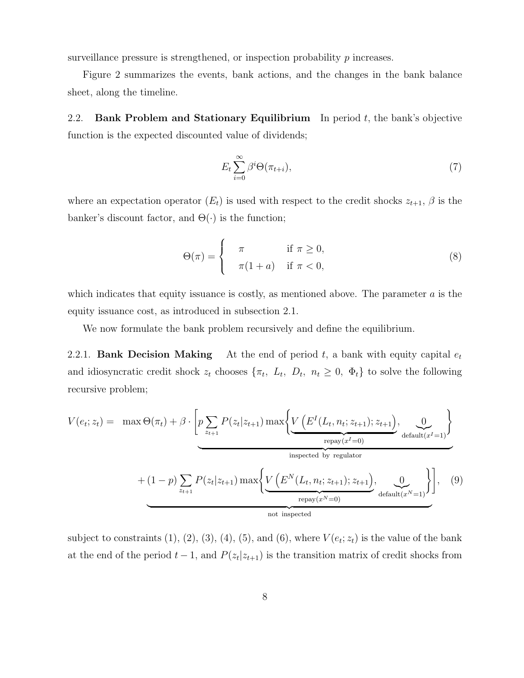surveillance pressure is strengthened, or inspection probability  $p$  increases.

Figure 2 summarizes the events, bank actions, and the changes in the bank balance sheet, along the timeline.

2.2. Bank Problem and Stationary Equilibrium In period  $t$ , the bank's objective function is the expected discounted value of dividends;

$$
E_t \sum_{i=0}^{\infty} \beta^i \Theta(\pi_{t+i}), \tag{7}
$$

where an expectation operator  $(E_t)$  is used with respect to the credit shocks  $z_{t+1}$ ,  $\beta$  is the banker's discount factor, and  $\Theta(\cdot)$  is the function;

$$
\Theta(\pi) = \begin{cases}\n\pi & \text{if } \pi \ge 0, \\
\pi(1+a) & \text{if } \pi < 0,\n\end{cases}
$$
\n(8)

which indicates that equity issuance is costly, as mentioned above. The parameter  $a$  is the equity issuance cost, as introduced in subsection 2.1.

We now formulate the bank problem recursively and define the equilibrium.

2.2.1. Bank Decision Making At the end of period  $t$ , a bank with equity capital  $e_t$ and idiosyncratic credit shock  $z_t$  chooses  $\{\pi_t, L_t, D_t, n_t \geq 0, \Phi_t\}$  to solve the following recursive problem;

$$
V(e_t; z_t) = \max \Theta(\pi_t) + \beta \cdot \left[ p \sum_{z_{t+1}} P(z_t | z_{t+1}) \max \left\{ \underbrace{V\left(E^I(L_t, n_t; z_{t+1}); z_{t+1}\right)}_{\text{respected by regulator}}, \underbrace{0}_{\text{desult}(x^I=1)} \right\} + (1-p) \sum_{z_{t+1}} P(z_t | z_{t+1}) \max \left\{ \underbrace{V\left(E^N(L_t, n_t; z_{t+1}); z_{t+1}\right)}_{\text{repay}(x^N=0)}, \underbrace{0}_{\text{default}(x^N=1)} \right\}, \quad (9)
$$
not inspected

subject to constraints  $(1)$ ,  $(2)$ ,  $(3)$ ,  $(4)$ ,  $(5)$ , and  $(6)$ , where  $V(e_t; z_t)$  is the value of the bank at the end of the period  $t-1$ , and  $P(z_t|z_{t+1})$  is the transition matrix of credit shocks from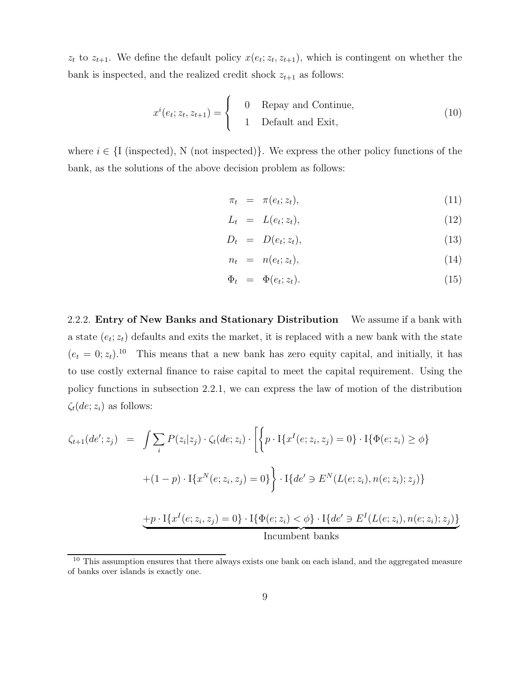$z_t$  to  $z_{t+1}$ . We define the default policy  $x(e_t; z_t, z_{t+1})$ , which is contingent on whether the bank is inspected, and the realized credit shock  $z_{t+1}$  as follows:

$$
x^{i}(e_{t}; z_{t}, z_{t+1}) = \begin{cases} 0 & \text{Repay and Continue,} \\ 1 & \text{Default andExit,} \end{cases}
$$
 (10)

where  $i \in \{I \text{ (inspected)}, N \text{ (not inspected)}\}.$  We express the other policy functions of the bank, as the solutions of the above decision problem as follows:

$$
\pi_t = \pi(e_t; z_t), \tag{11}
$$

$$
L_t = L(e_t; z_t), \tag{12}
$$

$$
D_t = D(e_t; z_t), \tag{13}
$$

$$
n_t = n(e_t; z_t), \tag{14}
$$

$$
\Phi_t = \Phi(e_t; z_t). \tag{15}
$$

2.2.2. Entry of New Banks and Stationary Distribution We assume if a bank with a state  $(e_t; z_t)$  defaults and exits the market, it is replaced with a new bank with the state  $(e_t = 0; z_t).$ <sup>10</sup> This means that a new bank has zero equity capital, and initially, it has to use costly external finance to raise capital to meet the capital requirement. Using the policy functions in subsection 2.2.1, we can express the law of motion of the distribution  $\zeta_t(de; z_i)$  as follows:

$$
\zeta_{t+1}(de'; z_j) = \int \sum_i P(z_i|z_j) \cdot \zeta_t(de; z_i) \cdot \left[ \left\{ p \cdot \mathbf{I} \{ x^I(e; z_i, z_j) = 0 \} \cdot \mathbf{I} \{\Phi(e; z_i) \ge \phi \} \right. \right.\left. + (1 - p) \cdot \mathbf{I} \{ x^N(e; z_i, z_j) = 0 \} \right\} \cdot \mathbf{I} \{ de' \ni E^N(L(e; z_i), n(e; z_i); z_j) \}
$$
\n
$$
\underbrace{+ p \cdot \mathbf{I} \{ x^I(e; z_i, z_j) = 0 \} \cdot \mathbf{I} \{\Phi(e; z_i) < \phi \} \cdot \mathbf{I} \{ de' \ni E^I(L(e; z_i), n(e; z_i); z_j) \}}_{\text{Incumbent banks}}
$$

<sup>&</sup>lt;sup>10</sup> This assumption ensures that there always exists one bank on each island, and the aggregated measure of banks over islands is exactly one.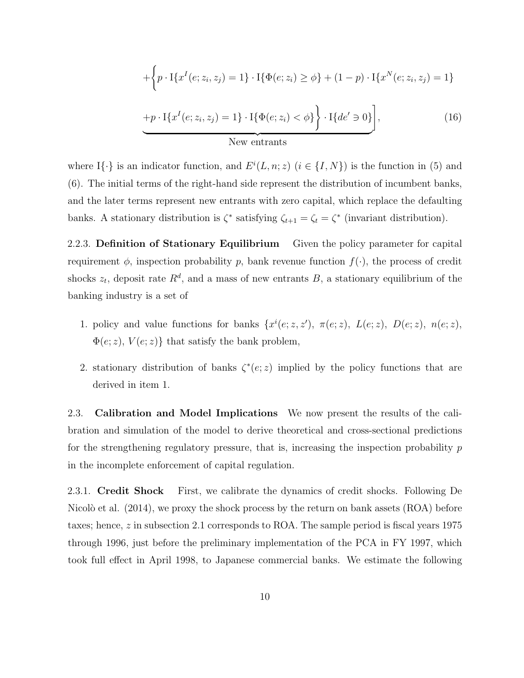$$
+\left\{p \cdot \text{I}\{x^{I}(e; z_{i}, z_{j}) = 1\} \cdot \text{I}\{\Phi(e; z_{i}) \geq \phi\} + (1 - p) \cdot \text{I}\{x^{N}(e; z_{i}, z_{j}) = 1\}
$$
  
+ $p \cdot \text{I}\{x^{I}(e; z_{i}, z_{j}) = 1\} \cdot \text{I}\{\Phi(e; z_{i}) < \phi\}\right\} \cdot \text{I}\{de' \ni 0\}\right],$  (16)  
New entrants

where I $\{\cdot\}$  is an indicator function, and  $E^{i}(L, n; z)$   $(i \in \{I, N\})$  is the function in (5) and (6). The initial terms of the right-hand side represent the distribution of incumbent banks, and the later terms represent new entrants with zero capital, which replace the defaulting banks. A stationary distribution is  $\zeta^*$  satisfying  $\zeta_{t+1} = \zeta_t = \zeta^*$  (invariant distribution).

2.2.3. Definition of Stationary Equilibrium Given the policy parameter for capital requirement  $\phi$ , inspection probability p, bank revenue function  $f(\cdot)$ , the process of credit shocks  $z_t$ , deposit rate  $R^d$ , and a mass of new entrants B, a stationary equilibrium of the banking industry is a set of

- 1. policy and value functions for banks  $\{x^{i}(e; z, z'), \pi(e; z), L(e; z), D(e; z), \pi(e; z),$  $\Phi(e; z)$ ,  $V(e; z)$ } that satisfy the bank problem,
- 2. stationary distribution of banks  $\zeta^*(e; z)$  implied by the policy functions that are derived in item 1.

2.3. Calibration and Model Implications We now present the results of the calibration and simulation of the model to derive theoretical and cross-sectional predictions for the strengthening regulatory pressure, that is, increasing the inspection probability  $p$ in the incomplete enforcement of capital regulation.

2.3.1. Credit Shock First, we calibrate the dynamics of credit shocks. Following De Nicolò et al.  $(2014)$ , we proxy the shock process by the return on bank assets  $(ROA)$  before taxes; hence, z in subsection 2.1 corresponds to ROA. The sample period is fiscal years 1975 through 1996, just before the preliminary implementation of the PCA in FY 1997, which took full effect in April 1998, to Japanese commercial banks. We estimate the following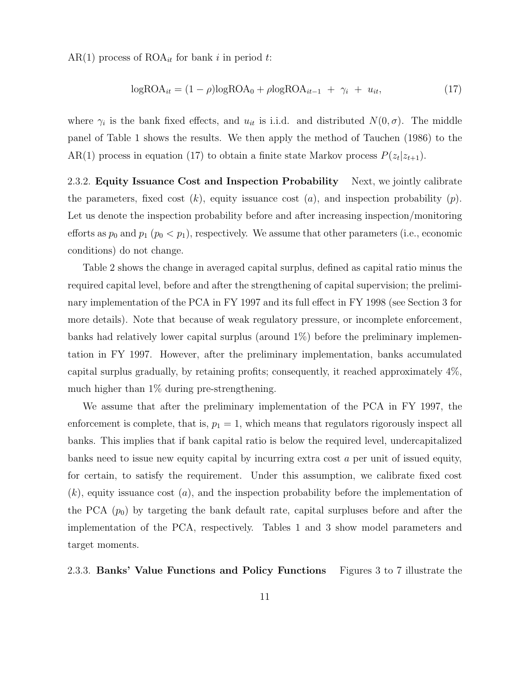AR(1) process of  $\text{ROA}_{it}$  for bank i in period t:

$$
logROAit = (1 - \rho)logROA0 + \rho logROAit-1 + \gammai + uit, \qquad (17)
$$

where  $\gamma_i$  is the bank fixed effects, and  $u_{it}$  is i.i.d. and distributed  $N(0, \sigma)$ . The middle panel of Table 1 shows the results. We then apply the method of Tauchen (1986) to the AR(1) process in equation (17) to obtain a finite state Markov process  $P(z_t|z_{t+1})$ .

2.3.2. Equity Issuance Cost and Inspection Probability Next, we jointly calibrate the parameters, fixed cost  $(k)$ , equity issuance cost  $(a)$ , and inspection probability  $(p)$ . Let us denote the inspection probability before and after increasing inspection/monitoring efforts as  $p_0$  and  $p_1$   $(p_0 < p_1)$ , respectively. We assume that other parameters (i.e., economic conditions) do not change.

Table 2 shows the change in averaged capital surplus, defined as capital ratio minus the required capital level, before and after the strengthening of capital supervision; the preliminary implementation of the PCA in FY 1997 and its full effect in FY 1998 (see Section 3 for more details). Note that because of weak regulatory pressure, or incomplete enforcement, banks had relatively lower capital surplus (around 1%) before the preliminary implementation in FY 1997. However, after the preliminary implementation, banks accumulated capital surplus gradually, by retaining profits; consequently, it reached approximately 4%, much higher than 1% during pre-strengthening.

We assume that after the preliminary implementation of the PCA in FY 1997, the enforcement is complete, that is,  $p_1 = 1$ , which means that regulators rigorously inspect all banks. This implies that if bank capital ratio is below the required level, undercapitalized banks need to issue new equity capital by incurring extra cost a per unit of issued equity, for certain, to satisfy the requirement. Under this assumption, we calibrate fixed cost  $(k)$ , equity issuance cost  $(a)$ , and the inspection probability before the implementation of the PCA  $(p_0)$  by targeting the bank default rate, capital surpluses before and after the implementation of the PCA, respectively. Tables 1 and 3 show model parameters and target moments.

#### 2.3.3. Banks' Value Functions and Policy Functions Figures 3 to 7 illustrate the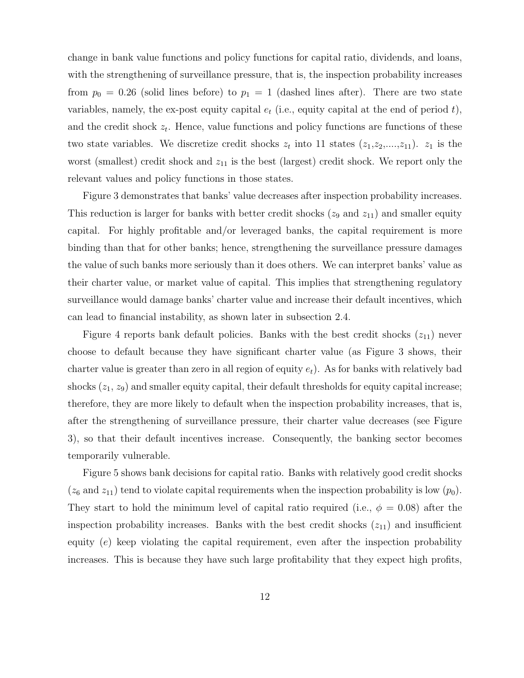change in bank value functions and policy functions for capital ratio, dividends, and loans, with the strengthening of surveillance pressure, that is, the inspection probability increases from  $p_0 = 0.26$  (solid lines before) to  $p_1 = 1$  (dashed lines after). There are two state variables, namely, the ex-post equity capital  $e_t$  (i.e., equity capital at the end of period t), and the credit shock  $z_t$ . Hence, value functions and policy functions are functions of these two state variables. We discretize credit shocks  $z_t$  into 11 states  $(z_1, z_2, \ldots, z_{11})$ .  $z_1$  is the worst (smallest) credit shock and  $z_{11}$  is the best (largest) credit shock. We report only the relevant values and policy functions in those states.

Figure 3 demonstrates that banks' value decreases after inspection probability increases. This reduction is larger for banks with better credit shocks  $(z_9 \text{ and } z_{11})$  and smaller equity capital. For highly profitable and/or leveraged banks, the capital requirement is more binding than that for other banks; hence, strengthening the surveillance pressure damages the value of such banks more seriously than it does others. We can interpret banks' value as their charter value, or market value of capital. This implies that strengthening regulatory surveillance would damage banks' charter value and increase their default incentives, which can lead to financial instability, as shown later in subsection 2.4.

Figure 4 reports bank default policies. Banks with the best credit shocks  $(z_{11})$  never choose to default because they have significant charter value (as Figure 3 shows, their charter value is greater than zero in all region of equity  $e_t$ ). As for banks with relatively bad shocks  $(z_1, z_9)$  and smaller equity capital, their default thresholds for equity capital increase; therefore, they are more likely to default when the inspection probability increases, that is, after the strengthening of surveillance pressure, their charter value decreases (see Figure 3), so that their default incentives increase. Consequently, the banking sector becomes temporarily vulnerable.

Figure 5 shows bank decisions for capital ratio. Banks with relatively good credit shocks  $(z_6 \text{ and } z_{11})$  tend to violate capital requirements when the inspection probability is low  $(p_0)$ . They start to hold the minimum level of capital ratio required (i.e.,  $\phi = 0.08$ ) after the inspection probability increases. Banks with the best credit shocks  $(z_{11})$  and insufficient equity  $(e)$  keep violating the capital requirement, even after the inspection probability increases. This is because they have such large profitability that they expect high profits,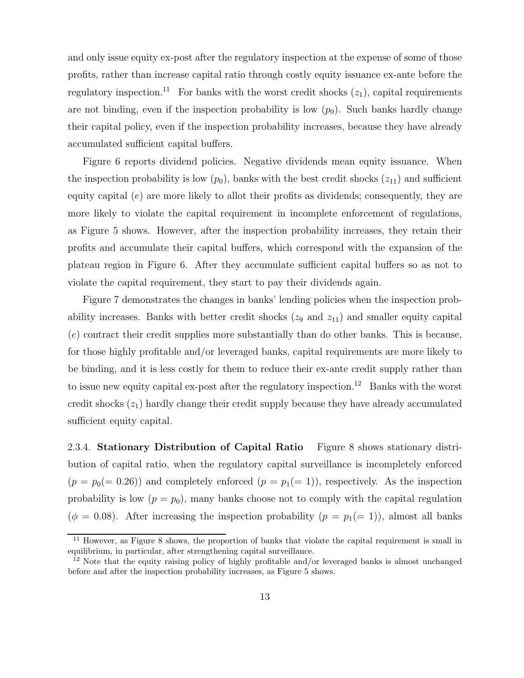and only issue equity ex-post after the regulatory inspection at the expense of some of those profits, rather than increase capital ratio through costly equity issuance ex-ante before the regulatory inspection.<sup>11</sup> For banks with the worst credit shocks  $(z_1)$ , capital requirements are not binding, even if the inspection probability is low  $(p_0)$ . Such banks hardly change their capital policy, even if the inspection probability increases, because they have already accumulated sufficient capital buffers.

Figure 6 reports dividend policies. Negative dividends mean equity issuance. When the inspection probability is low  $(p_0)$ , banks with the best credit shocks  $(z_{11})$  and sufficient equity capital  $(e)$  are more likely to allot their profits as dividends; consequently, they are more likely to violate the capital requirement in incomplete enforcement of regulations, as Figure 5 shows. However, after the inspection probability increases, they retain their profits and accumulate their capital buffers, which correspond with the expansion of the plateau region in Figure 6. After they accumulate sufficient capital buffers so as not to violate the capital requirement, they start to pay their dividends again.

Figure 7 demonstrates the changes in banks' lending policies when the inspection probability increases. Banks with better credit shocks  $(z_9 \text{ and } z_{11})$  and smaller equity capital (e) contract their credit supplies more substantially than do other banks. This is because, for those highly profitable and/or leveraged banks, capital requirements are more likely to be binding, and it is less costly for them to reduce their ex-ante credit supply rather than to issue new equity capital ex-post after the regulatory inspection.<sup>12</sup> Banks with the worst credit shocks  $(z_1)$  hardly change their credit supply because they have already accumulated sufficient equity capital.

2.3.4. Stationary Distribution of Capital Ratio Figure 8 shows stationary distribution of capital ratio, when the regulatory capital surveillance is incompletely enforced  $(p = p_0 (= 0.26))$  and completely enforced  $(p = p_1 (= 1))$ , respectively. As the inspection probability is low  $(p = p_0)$ , many banks choose not to comply with the capital regulation ( $\phi = 0.08$ ). After increasing the inspection probability ( $p = p_1(= 1)$ ), almost all banks

<sup>&</sup>lt;sup>11</sup> However, as Figure 8 shows, the proportion of banks that violate the capital requirement is small in equilibrium, in particular, after strengthening capital surveillance.

<sup>&</sup>lt;sup>12</sup> Note that the equity raising policy of highly profitable and/or leveraged banks is almost unchanged before and after the inspection probability increases, as Figure 5 shows.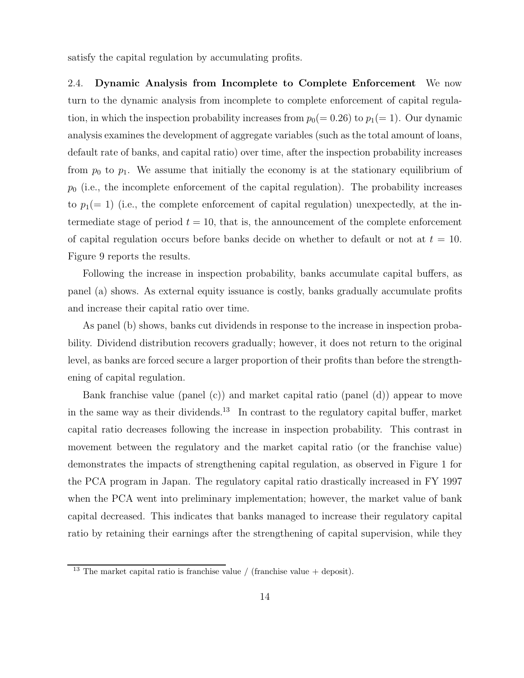satisfy the capital regulation by accumulating profits.

2.4. Dynamic Analysis from Incomplete to Complete Enforcement We now turn to the dynamic analysis from incomplete to complete enforcement of capital regulation, in which the inspection probability increases from  $p_0(= 0.26)$  to  $p_1(= 1)$ . Our dynamic analysis examines the development of aggregate variables (such as the total amount of loans, default rate of banks, and capital ratio) over time, after the inspection probability increases from  $p_0$  to  $p_1$ . We assume that initially the economy is at the stationary equilibrium of  $p_0$  (i.e., the incomplete enforcement of the capital regulation). The probability increases to  $p_1(= 1)$  (i.e., the complete enforcement of capital regulation) unexpectedly, at the intermediate stage of period  $t = 10$ , that is, the announcement of the complete enforcement of capital regulation occurs before banks decide on whether to default or not at  $t = 10$ . Figure 9 reports the results.

Following the increase in inspection probability, banks accumulate capital buffers, as panel (a) shows. As external equity issuance is costly, banks gradually accumulate profits and increase their capital ratio over time.

As panel (b) shows, banks cut dividends in response to the increase in inspection probability. Dividend distribution recovers gradually; however, it does not return to the original level, as banks are forced secure a larger proportion of their profits than before the strengthening of capital regulation.

Bank franchise value (panel (c)) and market capital ratio (panel (d)) appear to move in the same way as their dividends.<sup>13</sup> In contrast to the regulatory capital buffer, market capital ratio decreases following the increase in inspection probability. This contrast in movement between the regulatory and the market capital ratio (or the franchise value) demonstrates the impacts of strengthening capital regulation, as observed in Figure 1 for the PCA program in Japan. The regulatory capital ratio drastically increased in FY 1997 when the PCA went into preliminary implementation; however, the market value of bank capital decreased. This indicates that banks managed to increase their regulatory capital ratio by retaining their earnings after the strengthening of capital supervision, while they

<sup>&</sup>lt;sup>13</sup> The market capital ratio is franchise value / (franchise value + deposit).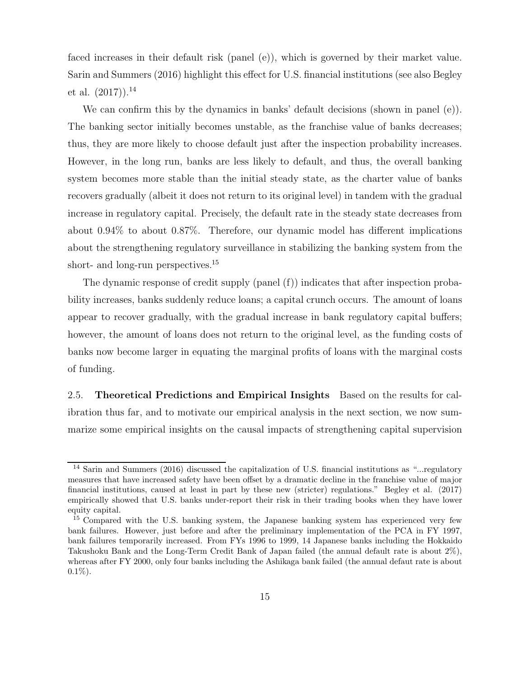faced increases in their default risk (panel (e)), which is governed by their market value. Sarin and Summers (2016) highlight this effect for U.S. financial institutions (see also Begley et al.  $(2017)$ .<sup>14</sup>

We can confirm this by the dynamics in banks' default decisions (shown in panel (e)). The banking sector initially becomes unstable, as the franchise value of banks decreases; thus, they are more likely to choose default just after the inspection probability increases. However, in the long run, banks are less likely to default, and thus, the overall banking system becomes more stable than the initial steady state, as the charter value of banks recovers gradually (albeit it does not return to its original level) in tandem with the gradual increase in regulatory capital. Precisely, the default rate in the steady state decreases from about 0.94% to about 0.87%. Therefore, our dynamic model has different implications about the strengthening regulatory surveillance in stabilizing the banking system from the short- and long-run perspectives.<sup>15</sup>

The dynamic response of credit supply (panel (f)) indicates that after inspection probability increases, banks suddenly reduce loans; a capital crunch occurs. The amount of loans appear to recover gradually, with the gradual increase in bank regulatory capital buffers; however, the amount of loans does not return to the original level, as the funding costs of banks now become larger in equating the marginal profits of loans with the marginal costs of funding.

2.5. Theoretical Predictions and Empirical Insights Based on the results for calibration thus far, and to motivate our empirical analysis in the next section, we now summarize some empirical insights on the causal impacts of strengthening capital supervision

<sup>14</sup> Sarin and Summers (2016) discussed the capitalization of U.S. financial institutions as "...regulatory measures that have increased safety have been offset by a dramatic decline in the franchise value of major financial institutions, caused at least in part by these new (stricter) regulations." Begley et al. (2017) empirically showed that U.S. banks under-report their risk in their trading books when they have lower equity capital.

<sup>&</sup>lt;sup>15</sup> Compared with the U.S. banking system, the Japanese banking system has experienced very few bank failures. However, just before and after the preliminary implementation of the PCA in FY 1997, bank failures temporarily increased. From FYs 1996 to 1999, 14 Japanese banks including the Hokkaido Takushoku Bank and the Long-Term Credit Bank of Japan failed (the annual default rate is about 2%), whereas after FY 2000, only four banks including the Ashikaga bank failed (the annual defaut rate is about  $0.1\%$ ).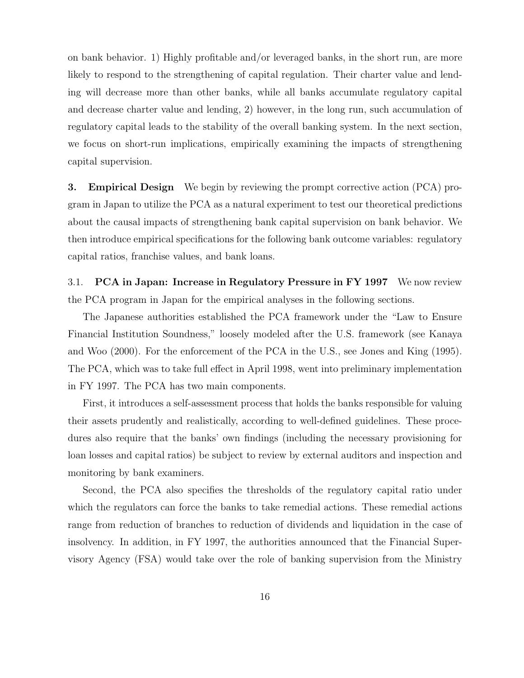on bank behavior. 1) Highly profitable and/or leveraged banks, in the short run, are more likely to respond to the strengthening of capital regulation. Their charter value and lending will decrease more than other banks, while all banks accumulate regulatory capital and decrease charter value and lending, 2) however, in the long run, such accumulation of regulatory capital leads to the stability of the overall banking system. In the next section, we focus on short-run implications, empirically examining the impacts of strengthening capital supervision.

3. Empirical Design We begin by reviewing the prompt corrective action (PCA) program in Japan to utilize the PCA as a natural experiment to test our theoretical predictions about the causal impacts of strengthening bank capital supervision on bank behavior. We then introduce empirical specifications for the following bank outcome variables: regulatory capital ratios, franchise values, and bank loans.

3.1. PCA in Japan: Increase in Regulatory Pressure in FY 1997 We now review the PCA program in Japan for the empirical analyses in the following sections.

The Japanese authorities established the PCA framework under the "Law to Ensure Financial Institution Soundness," loosely modeled after the U.S. framework (see Kanaya and Woo (2000). For the enforcement of the PCA in the U.S., see Jones and King (1995). The PCA, which was to take full effect in April 1998, went into preliminary implementation in FY 1997. The PCA has two main components.

First, it introduces a self-assessment process that holds the banks responsible for valuing their assets prudently and realistically, according to well-defined guidelines. These procedures also require that the banks' own findings (including the necessary provisioning for loan losses and capital ratios) be subject to review by external auditors and inspection and monitoring by bank examiners.

Second, the PCA also specifies the thresholds of the regulatory capital ratio under which the regulators can force the banks to take remedial actions. These remedial actions range from reduction of branches to reduction of dividends and liquidation in the case of insolvency. In addition, in FY 1997, the authorities announced that the Financial Supervisory Agency (FSA) would take over the role of banking supervision from the Ministry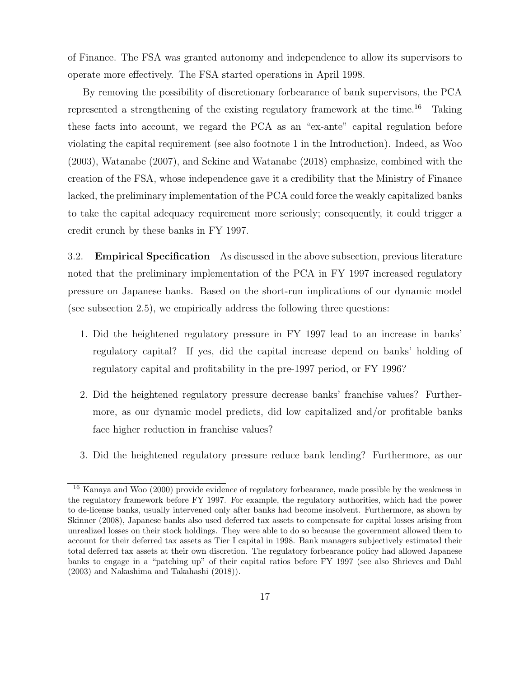of Finance. The FSA was granted autonomy and independence to allow its supervisors to operate more effectively. The FSA started operations in April 1998.

By removing the possibility of discretionary forbearance of bank supervisors, the PCA represented a strengthening of the existing regulatory framework at the time.<sup>16</sup> Taking these facts into account, we regard the PCA as an "ex-ante" capital regulation before violating the capital requirement (see also footnote 1 in the Introduction). Indeed, as Woo (2003), Watanabe (2007), and Sekine and Watanabe (2018) emphasize, combined with the creation of the FSA, whose independence gave it a credibility that the Ministry of Finance lacked, the preliminary implementation of the PCA could force the weakly capitalized banks to take the capital adequacy requirement more seriously; consequently, it could trigger a credit crunch by these banks in FY 1997.

3.2. Empirical Specification As discussed in the above subsection, previous literature noted that the preliminary implementation of the PCA in FY 1997 increased regulatory pressure on Japanese banks. Based on the short-run implications of our dynamic model (see subsection 2.5), we empirically address the following three questions:

- 1. Did the heightened regulatory pressure in FY 1997 lead to an increase in banks' regulatory capital? If yes, did the capital increase depend on banks' holding of regulatory capital and profitability in the pre-1997 period, or FY 1996?
- 2. Did the heightened regulatory pressure decrease banks' franchise values? Furthermore, as our dynamic model predicts, did low capitalized and/or profitable banks face higher reduction in franchise values?
- 3. Did the heightened regulatory pressure reduce bank lending? Furthermore, as our

<sup>16</sup> Kanaya and Woo (2000) provide evidence of regulatory forbearance, made possible by the weakness in the regulatory framework before FY 1997. For example, the regulatory authorities, which had the power to de-license banks, usually intervened only after banks had become insolvent. Furthermore, as shown by Skinner (2008), Japanese banks also used deferred tax assets to compensate for capital losses arising from unrealized losses on their stock holdings. They were able to do so because the government allowed them to account for their deferred tax assets as Tier I capital in 1998. Bank managers subjectively estimated their total deferred tax assets at their own discretion. The regulatory forbearance policy had allowed Japanese banks to engage in a "patching up" of their capital ratios before FY 1997 (see also Shrieves and Dahl (2003) and Nakashima and Takahashi (2018)).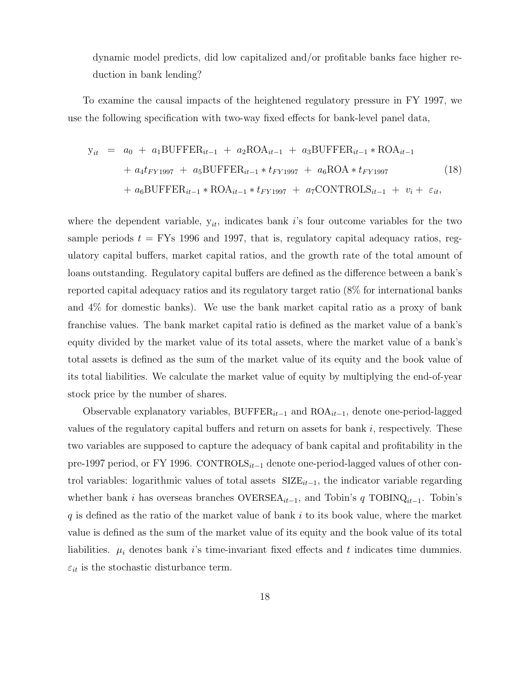dynamic model predicts, did low capitalized and/or profitable banks face higher reduction in bank lending?

To examine the causal impacts of the heightened regulatory pressure in FY 1997, we use the following specification with two-way fixed effects for bank-level panel data,

$$
y_{it} = a_0 + a_1 BUFFER_{it-1} + a_2 ROA_{it-1} + a_3 BUFFER_{it-1} * ROA_{it-1}
$$
  
+  $a_4 t_{FY1997} + a_5 BUFFER_{it-1} * t_{FY1997} + a_6 ROA * t_{FY1997}$  (18)  
+  $a_6 BUFFER_{it-1} * ROA_{it-1} * t_{FY1997} + a_7 CONTROLS_{it-1} + v_i + \varepsilon_{it},$ 

where the dependent variable,  $y_{it}$ , indicates bank i's four outcome variables for the two sample periods  $t = \text{FYs}$  1996 and 1997, that is, regulatory capital adequacy ratios, regulatory capital buffers, market capital ratios, and the growth rate of the total amount of loans outstanding. Regulatory capital buffers are defined as the difference between a bank's reported capital adequacy ratios and its regulatory target ratio (8% for international banks and 4% for domestic banks). We use the bank market capital ratio as a proxy of bank franchise values. The bank market capital ratio is defined as the market value of a bank's equity divided by the market value of its total assets, where the market value of a bank's total assets is defined as the sum of the market value of its equity and the book value of its total liabilities. We calculate the market value of equity by multiplying the end-of-year stock price by the number of shares.

Observable explanatory variables, BUFFER $_{it-1}$  and ROA $_{it-1}$ , denote one-period-lagged values of the regulatory capital buffers and return on assets for bank  $i$ , respectively. These two variables are supposed to capture the adequacy of bank capital and profitability in the pre-1997 period, or FY 1996. CONTROLS $_{it-1}$  denote one-period-lagged values of other control variables: logarithmic values of total assets  $SIZE_{it-1}$ , the indicator variable regarding whether bank *i* has overseas branches  $\text{OVERSEA}_{it-1}$ , and Tobin's q TOBINQ<sub>*it*-1</sub>. Tobin's  $q$  is defined as the ratio of the market value of bank  $i$  to its book value, where the market value is defined as the sum of the market value of its equity and the book value of its total liabilities.  $\mu_i$  denotes bank is time-invariant fixed effects and t indicates time dummies.  $\varepsilon_{it}$  is the stochastic disturbance term.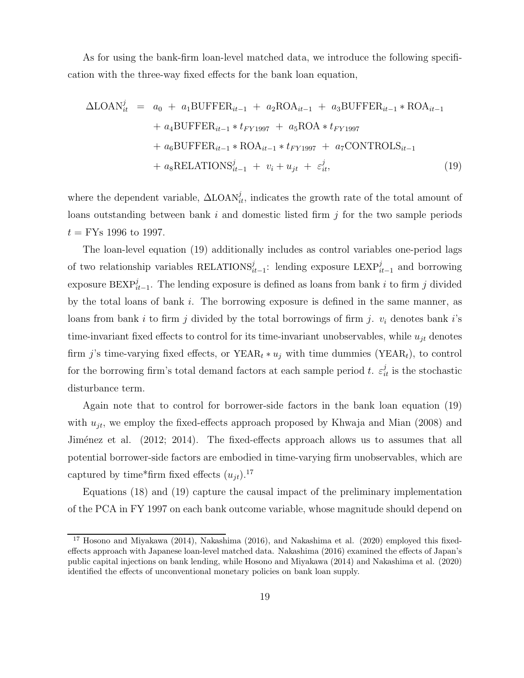As for using the bank-firm loan-level matched data, we introduce the following specification with the three-way fixed effects for the bank loan equation,

$$
\Delta\text{LOAN}_{it}^{j} = a_{0} + a_{1}\text{BUFFER}_{it-1} + a_{2}\text{ROA}_{it-1} + a_{3}\text{BUFFER}_{it-1} * \text{ROA}_{it-1} \n+ a_{4}\text{BUFFER}_{it-1} * t_{FY1997} + a_{5}\text{ROA} * t_{FY1997} \n+ a_{6}\text{BUFFER}_{it-1} * \text{ROA}_{it-1} * t_{FY1997} + a_{7}\text{CONTROLS}_{it-1} \n+ a_{8}\text{RELATIONS}_{it-1}^{j} + v_{i} + u_{jt} + \varepsilon_{it}^{j},
$$
\n(19)

where the dependent variable,  $\Delta$ LOAN<sub>it</sub>, indicates the growth rate of the total amount of loans outstanding between bank  $i$  and domestic listed firm  $j$  for the two sample periods  $t =$  FYs 1996 to 1997.

The loan-level equation (19) additionally includes as control variables one-period lags of two relationship variables RELATIONS $_{i,t-1}^{j}$ : lending exposure LEXP $_{i,t-1}^{j}$  and borrowing exposure BEXP<sup>j</sup><sub>it−1</sub>. The lending exposure is defined as loans from bank i to firm j divided by the total loans of bank  $i$ . The borrowing exposure is defined in the same manner, as loans from bank i to firm j divided by the total borrowings of firm j.  $v_i$  denotes bank i's time-invariant fixed effects to control for its time-invariant unobservables, while  $u_{jt}$  denotes firm j's time-varying fixed effects, or  $YEAR_t * u_j$  with time dummies (YEAR<sub>t</sub>), to control for the borrowing firm's total demand factors at each sample period t.  $\varepsilon_{it}^j$  is the stochastic disturbance term.

Again note that to control for borrower-side factors in the bank loan equation (19) with  $u_{jt}$ , we employ the fixed-effects approach proposed by Khwaja and Mian (2008) and Jiménez et al. (2012; 2014). The fixed-effects approach allows us to assumes that all potential borrower-side factors are embodied in time-varying firm unobservables, which are captured by time\*firm fixed effects  $(u_{it})$ .<sup>17</sup>

Equations (18) and (19) capture the causal impact of the preliminary implementation of the PCA in FY 1997 on each bank outcome variable, whose magnitude should depend on

<sup>&</sup>lt;sup>17</sup> Hosono and Miyakawa (2014), Nakashima (2016), and Nakashima et al. (2020) employed this fixedeffects approach with Japanese loan-level matched data. Nakashima (2016) examined the effects of Japan's public capital injections on bank lending, while Hosono and Miyakawa (2014) and Nakashima et al. (2020) identified the effects of unconventional monetary policies on bank loan supply.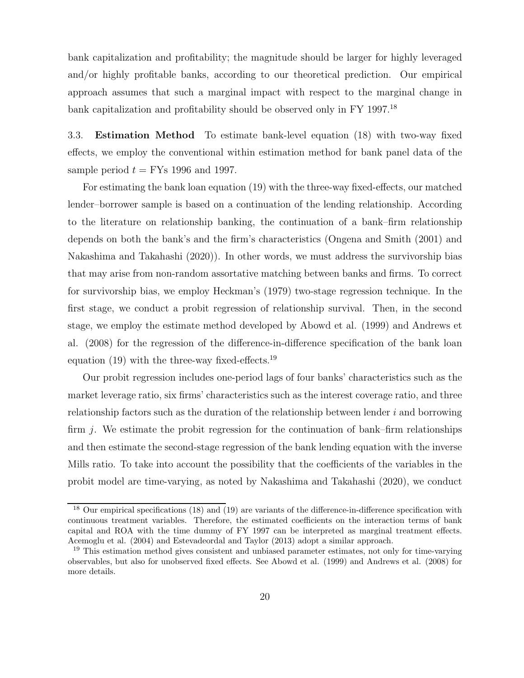bank capitalization and profitability; the magnitude should be larger for highly leveraged and/or highly profitable banks, according to our theoretical prediction. Our empirical approach assumes that such a marginal impact with respect to the marginal change in bank capitalization and profitability should be observed only in FY 1997.<sup>18</sup>

3.3. Estimation Method To estimate bank-level equation (18) with two-way fixed effects, we employ the conventional within estimation method for bank panel data of the sample period  $t =$  FYs 1996 and 1997.

For estimating the bank loan equation (19) with the three-way fixed-effects, our matched lender–borrower sample is based on a continuation of the lending relationship. According to the literature on relationship banking, the continuation of a bank–firm relationship depends on both the bank's and the firm's characteristics (Ongena and Smith (2001) and Nakashima and Takahashi (2020)). In other words, we must address the survivorship bias that may arise from non-random assortative matching between banks and firms. To correct for survivorship bias, we employ Heckman's (1979) two-stage regression technique. In the first stage, we conduct a probit regression of relationship survival. Then, in the second stage, we employ the estimate method developed by Abowd et al. (1999) and Andrews et al. (2008) for the regression of the difference-in-difference specification of the bank loan equation  $(19)$  with the three-way fixed-effects.<sup>19</sup>

Our probit regression includes one-period lags of four banks' characteristics such as the market leverage ratio, six firms' characteristics such as the interest coverage ratio, and three relationship factors such as the duration of the relationship between lender  $i$  and borrowing firm  $i$ . We estimate the probit regression for the continuation of bank–firm relationships and then estimate the second-stage regression of the bank lending equation with the inverse Mills ratio. To take into account the possibility that the coefficients of the variables in the probit model are time-varying, as noted by Nakashima and Takahashi (2020), we conduct

<sup>&</sup>lt;sup>18</sup> Our empirical specifications (18) and (19) are variants of the difference-in-difference specification with continuous treatment variables. Therefore, the estimated coefficients on the interaction terms of bank capital and ROA with the time dummy of FY 1997 can be interpreted as marginal treatment effects. Acemoglu et al. (2004) and Estevadeordal and Taylor (2013) adopt a similar approach.

<sup>&</sup>lt;sup>19</sup> This estimation method gives consistent and unbiased parameter estimates, not only for time-varying observables, but also for unobserved fixed effects. See Abowd et al. (1999) and Andrews et al. (2008) for more details.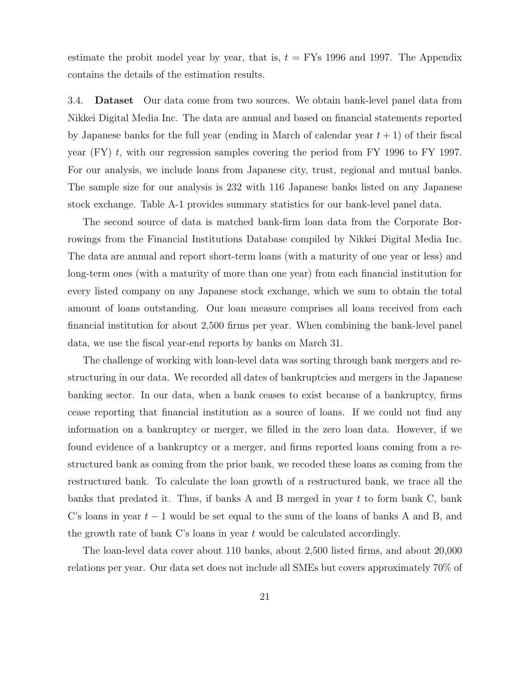estimate the probit model year by year, that is,  $t = \text{FYs}$  1996 and 1997. The Appendix contains the details of the estimation results.

3.4. Dataset Our data come from two sources. We obtain bank-level panel data from Nikkei Digital Media Inc. The data are annual and based on financial statements reported by Japanese banks for the full year (ending in March of calendar year  $t + 1$ ) of their fiscal year  $(FY)$  t, with our regression samples covering the period from FY 1996 to FY 1997. For our analysis, we include loans from Japanese city, trust, regional and mutual banks. The sample size for our analysis is 232 with 116 Japanese banks listed on any Japanese stock exchange. Table A-1 provides summary statistics for our bank-level panel data.

The second source of data is matched bank-firm loan data from the Corporate Borrowings from the Financial Institutions Database compiled by Nikkei Digital Media Inc. The data are annual and report short-term loans (with a maturity of one year or less) and long-term ones (with a maturity of more than one year) from each financial institution for every listed company on any Japanese stock exchange, which we sum to obtain the total amount of loans outstanding. Our loan measure comprises all loans received from each financial institution for about 2,500 firms per year. When combining the bank-level panel data, we use the fiscal year-end reports by banks on March 31.

The challenge of working with loan-level data was sorting through bank mergers and restructuring in our data. We recorded all dates of bankruptcies and mergers in the Japanese banking sector. In our data, when a bank ceases to exist because of a bankruptcy, firms cease reporting that financial institution as a source of loans. If we could not find any information on a bankruptcy or merger, we filled in the zero loan data. However, if we found evidence of a bankruptcy or a merger, and firms reported loans coming from a restructured bank as coming from the prior bank, we recoded these loans as coming from the restructured bank. To calculate the loan growth of a restructured bank, we trace all the banks that predated it. Thus, if banks A and B merged in year  $t$  to form bank C, bank C's loans in year  $t-1$  would be set equal to the sum of the loans of banks A and B, and the growth rate of bank C's loans in year  $t$  would be calculated accordingly.

The loan-level data cover about 110 banks, about 2,500 listed firms, and about 20,000 relations per year. Our data set does not include all SMEs but covers approximately 70% of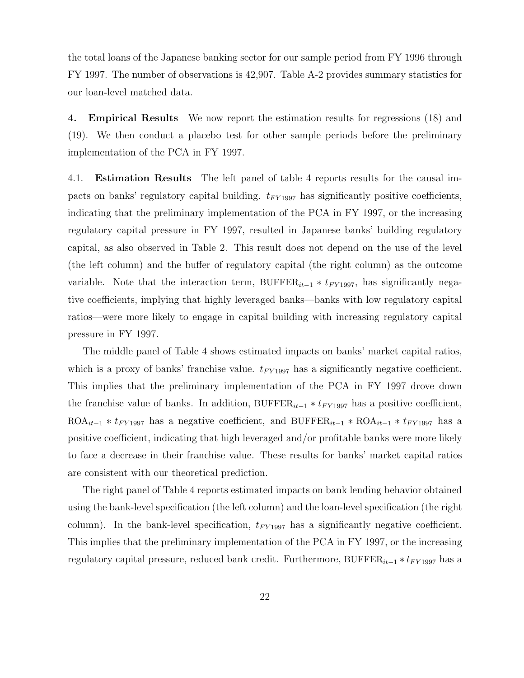the total loans of the Japanese banking sector for our sample period from FY 1996 through FY 1997. The number of observations is 42,907. Table A-2 provides summary statistics for our loan-level matched data.

4. Empirical Results We now report the estimation results for regressions (18) and (19). We then conduct a placebo test for other sample periods before the preliminary implementation of the PCA in FY 1997.

4.1. Estimation Results The left panel of table 4 reports results for the causal impacts on banks' regulatory capital building.  $t_{FY1997}$  has significantly positive coefficients, indicating that the preliminary implementation of the PCA in FY 1997, or the increasing regulatory capital pressure in FY 1997, resulted in Japanese banks' building regulatory capital, as also observed in Table 2. This result does not depend on the use of the level (the left column) and the buffer of regulatory capital (the right column) as the outcome variable. Note that the interaction term, BUFFER $i_{t-1} * t_{FY1997}$ , has significantly negative coefficients, implying that highly leveraged banks—banks with low regulatory capital ratios—were more likely to engage in capital building with increasing regulatory capital pressure in FY 1997.

The middle panel of Table 4 shows estimated impacts on banks' market capital ratios, which is a proxy of banks' franchise value.  $t_{FY1997}$  has a significantly negative coefficient. This implies that the preliminary implementation of the PCA in FY 1997 drove down the franchise value of banks. In addition, BUFFER<sub>it−1</sub>  $*$  t<sub>FY1997</sub> has a positive coefficient, ROA<sub>it−1</sub> \*  $t_{FY1997}$  has a negative coefficient, and BUFFER<sub>it−1</sub> \* ROA<sub>it−1</sub> \*  $t_{FY1997}$  has a positive coefficient, indicating that high leveraged and/or profitable banks were more likely to face a decrease in their franchise value. These results for banks' market capital ratios are consistent with our theoretical prediction.

The right panel of Table 4 reports estimated impacts on bank lending behavior obtained using the bank-level specification (the left column) and the loan-level specification (the right column). In the bank-level specification,  $t_{FY1997}$  has a significantly negative coefficient. This implies that the preliminary implementation of the PCA in FY 1997, or the increasing regulatory capital pressure, reduced bank credit. Furthermore, BUFFER<sub>it−1</sub>  $*$  t<sub>FY1997</sub> has a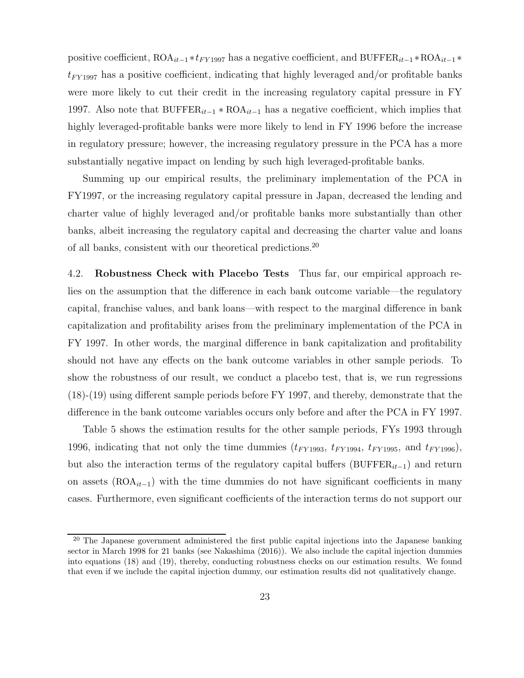positive coefficient,  $ROA_{it-1} * t_{FY1997}$  has a negative coefficient, and BUFFER<sub>it−1</sub> \*ROA<sub>it−1</sub> \*  $t_{FY1997}$  has a positive coefficient, indicating that highly leveraged and/or profitable banks were more likely to cut their credit in the increasing regulatory capital pressure in FY 1997. Also note that  $BUFFER_{it-1} * ROA_{it-1}$  has a negative coefficient, which implies that highly leveraged-profitable banks were more likely to lend in FY 1996 before the increase in regulatory pressure; however, the increasing regulatory pressure in the PCA has a more substantially negative impact on lending by such high leveraged-profitable banks.

Summing up our empirical results, the preliminary implementation of the PCA in FY1997, or the increasing regulatory capital pressure in Japan, decreased the lending and charter value of highly leveraged and/or profitable banks more substantially than other banks, albeit increasing the regulatory capital and decreasing the charter value and loans of all banks, consistent with our theoretical predictions.<sup>20</sup>

4.2. Robustness Check with Placebo Tests Thus far, our empirical approach relies on the assumption that the difference in each bank outcome variable—the regulatory capital, franchise values, and bank loans—with respect to the marginal difference in bank capitalization and profitability arises from the preliminary implementation of the PCA in FY 1997. In other words, the marginal difference in bank capitalization and profitability should not have any effects on the bank outcome variables in other sample periods. To show the robustness of our result, we conduct a placebo test, that is, we run regressions (18)-(19) using different sample periods before FY 1997, and thereby, demonstrate that the difference in the bank outcome variables occurs only before and after the PCA in FY 1997.

Table 5 shows the estimation results for the other sample periods, FYs 1993 through 1996, indicating that not only the time dummies  $(t_{FY1993}, t_{FY1994}, t_{FY1995},$  and  $t_{FY1996}$ ), but also the interaction terms of the regulatory capital buffers (BUFFER<sub>it−1</sub>) and return on assets  $(ROA<sub>it-1</sub>)$  with the time dummies do not have significant coefficients in many cases. Furthermore, even significant coefficients of the interaction terms do not support our

<sup>&</sup>lt;sup>20</sup> The Japanese government administered the first public capital injections into the Japanese banking sector in March 1998 for 21 banks (see Nakashima (2016)). We also include the capital injection dummies into equations (18) and (19), thereby, conducting robustness checks on our estimation results. We found that even if we include the capital injection dummy, our estimation results did not qualitatively change.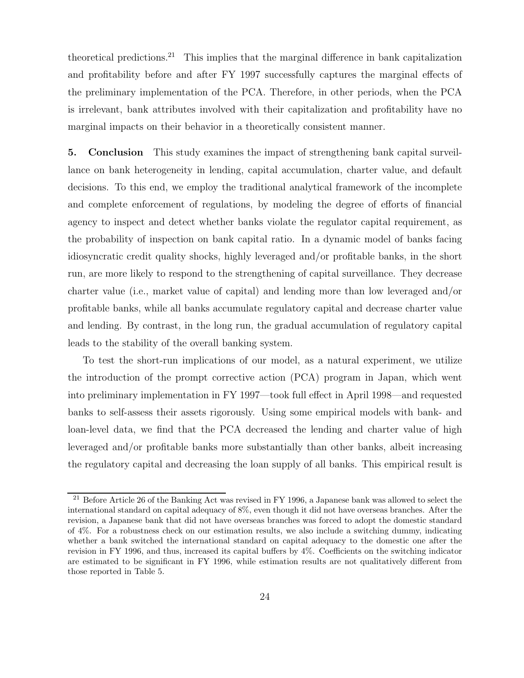theoretical predictions.<sup>21</sup> This implies that the marginal difference in bank capitalization and profitability before and after FY 1997 successfully captures the marginal effects of the preliminary implementation of the PCA. Therefore, in other periods, when the PCA is irrelevant, bank attributes involved with their capitalization and profitability have no marginal impacts on their behavior in a theoretically consistent manner.

5. Conclusion This study examines the impact of strengthening bank capital surveillance on bank heterogeneity in lending, capital accumulation, charter value, and default decisions. To this end, we employ the traditional analytical framework of the incomplete and complete enforcement of regulations, by modeling the degree of efforts of financial agency to inspect and detect whether banks violate the regulator capital requirement, as the probability of inspection on bank capital ratio. In a dynamic model of banks facing idiosyncratic credit quality shocks, highly leveraged and/or profitable banks, in the short run, are more likely to respond to the strengthening of capital surveillance. They decrease charter value (i.e., market value of capital) and lending more than low leveraged and/or profitable banks, while all banks accumulate regulatory capital and decrease charter value and lending. By contrast, in the long run, the gradual accumulation of regulatory capital leads to the stability of the overall banking system.

To test the short-run implications of our model, as a natural experiment, we utilize the introduction of the prompt corrective action (PCA) program in Japan, which went into preliminary implementation in FY 1997—took full effect in April 1998—and requested banks to self-assess their assets rigorously. Using some empirical models with bank- and loan-level data, we find that the PCA decreased the lending and charter value of high leveraged and/or profitable banks more substantially than other banks, albeit increasing the regulatory capital and decreasing the loan supply of all banks. This empirical result is

<sup>&</sup>lt;sup>21</sup> Before Article 26 of the Banking Act was revised in FY 1996, a Japanese bank was allowed to select the international standard on capital adequacy of 8%, even though it did not have overseas branches. After the revision, a Japanese bank that did not have overseas branches was forced to adopt the domestic standard of 4%. For a robustness check on our estimation results, we also include a switching dummy, indicating whether a bank switched the international standard on capital adequacy to the domestic one after the revision in FY 1996, and thus, increased its capital buffers by 4%. Coefficients on the switching indicator are estimated to be significant in FY 1996, while estimation results are not qualitatively different from those reported in Table 5.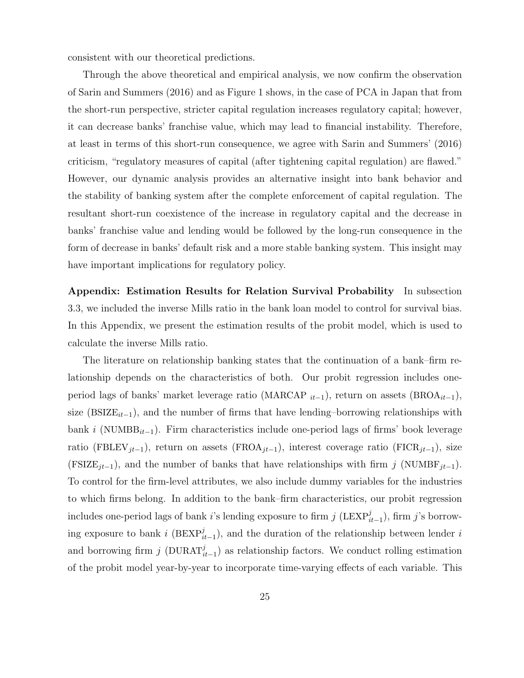consistent with our theoretical predictions.

Through the above theoretical and empirical analysis, we now confirm the observation of Sarin and Summers (2016) and as Figure 1 shows, in the case of PCA in Japan that from the short-run perspective, stricter capital regulation increases regulatory capital; however, it can decrease banks' franchise value, which may lead to financial instability. Therefore, at least in terms of this short-run consequence, we agree with Sarin and Summers' (2016) criticism, "regulatory measures of capital (after tightening capital regulation) are flawed." However, our dynamic analysis provides an alternative insight into bank behavior and the stability of banking system after the complete enforcement of capital regulation. The resultant short-run coexistence of the increase in regulatory capital and the decrease in banks' franchise value and lending would be followed by the long-run consequence in the form of decrease in banks' default risk and a more stable banking system. This insight may have important implications for regulatory policy.

Appendix: Estimation Results for Relation Survival Probability In subsection 3.3, we included the inverse Mills ratio in the bank loan model to control for survival bias. In this Appendix, we present the estimation results of the probit model, which is used to calculate the inverse Mills ratio.

The literature on relationship banking states that the continuation of a bank–firm relationship depends on the characteristics of both. Our probit regression includes oneperiod lags of banks' market leverage ratio (MARCAP  $_{it-1}$ ), return on assets (BROA<sub> $it-1$ </sub>), size (BSIZE $_{it-1}$ ), and the number of firms that have lending–borrowing relationships with bank i (NUMBB<sub>it−1</sub>). Firm characteristics include one-period lags of firms' book leverage ratio (FBLEV<sub>jt−1</sub>), return on assets (FROA<sub>jt−1</sub>), interest coverage ratio (FICR<sub>jt−1</sub>), size (FSIZE<sub>jt−1</sub>), and the number of banks that have relationships with firm j (NUMBF<sub>jt−1</sub>). To control for the firm-level attributes, we also include dummy variables for the industries to which firms belong. In addition to the bank–firm characteristics, our probit regression includes one-period lags of bank *i*'s lending exposure to firm  $j$  (LEXP<sub>it-1</sub>), firm  $j$ 's borrowing exposure to bank i (BEXP $_{it-1}^{j}$ ), and the duration of the relationship between lender i and borrowing firm j (DURAT $_{it-1}^j$ ) as relationship factors. We conduct rolling estimation of the probit model year-by-year to incorporate time-varying effects of each variable. This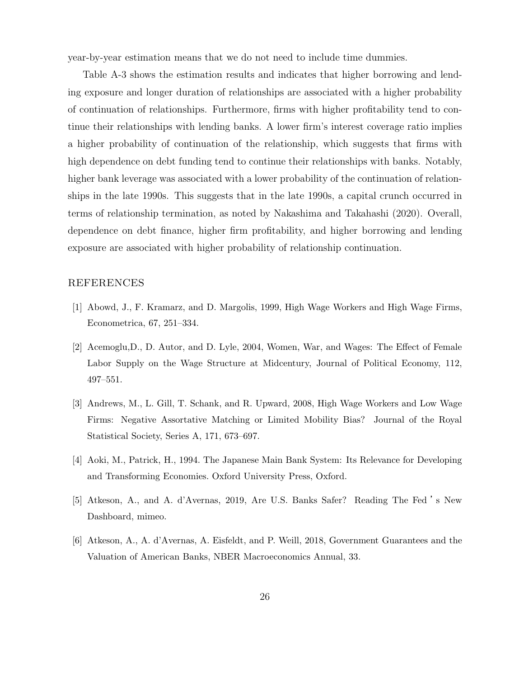year-by-year estimation means that we do not need to include time dummies.

Table A-3 shows the estimation results and indicates that higher borrowing and lending exposure and longer duration of relationships are associated with a higher probability of continuation of relationships. Furthermore, firms with higher profitability tend to continue their relationships with lending banks. A lower firm's interest coverage ratio implies a higher probability of continuation of the relationship, which suggests that firms with high dependence on debt funding tend to continue their relationships with banks. Notably, higher bank leverage was associated with a lower probability of the continuation of relationships in the late 1990s. This suggests that in the late 1990s, a capital crunch occurred in terms of relationship termination, as noted by Nakashima and Takahashi (2020). Overall, dependence on debt finance, higher firm profitability, and higher borrowing and lending exposure are associated with higher probability of relationship continuation.

#### REFERENCES

- [1] Abowd, J., F. Kramarz, and D. Margolis, 1999, High Wage Workers and High Wage Firms, Econometrica, 67, 251–334.
- [2] Acemoglu,D., D. Autor, and D. Lyle, 2004, Women, War, and Wages: The Effect of Female Labor Supply on the Wage Structure at Midcentury, Journal of Political Economy, 112, 497–551.
- [3] Andrews, M., L. Gill, T. Schank, and R. Upward, 2008, High Wage Workers and Low Wage Firms: Negative Assortative Matching or Limited Mobility Bias? Journal of the Royal Statistical Society, Series A, 171, 673–697.
- [4] Aoki, M., Patrick, H., 1994. The Japanese Main Bank System: Its Relevance for Developing and Transforming Economies. Oxford University Press, Oxford.
- [5] Atkeson, A., and A. d'Avernas, 2019, Are U.S. Banks Safer? Reading The Fed 's New Dashboard, mimeo.
- [6] Atkeson, A., A. d'Avernas, A. Eisfeldt, and P. Weill, 2018, Government Guarantees and the Valuation of American Banks, NBER Macroeconomics Annual, 33.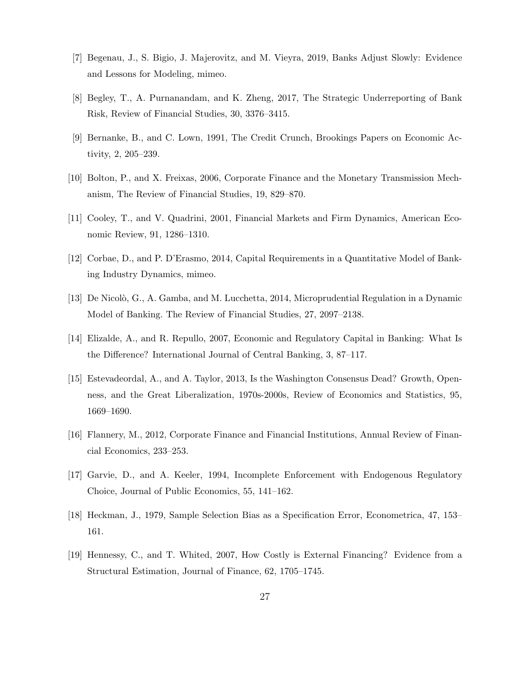- [7] Begenau, J., S. Bigio, J. Majerovitz, and M. Vieyra, 2019, Banks Adjust Slowly: Evidence and Lessons for Modeling, mimeo.
- [8] Begley, T., A. Purnanandam, and K. Zheng, 2017, The Strategic Underreporting of Bank Risk, Review of Financial Studies, 30, 3376–3415.
- [9] Bernanke, B., and C. Lown, 1991, The Credit Crunch, Brookings Papers on Economic Activity, 2, 205–239.
- [10] Bolton, P., and X. Freixas, 2006, Corporate Finance and the Monetary Transmission Mechanism, The Review of Financial Studies, 19, 829–870.
- [11] Cooley, T., and V. Quadrini, 2001, Financial Markets and Firm Dynamics, American Economic Review, 91, 1286–1310.
- [12] Corbae, D., and P. D'Erasmo, 2014, Capital Requirements in a Quantitative Model of Banking Industry Dynamics, mimeo.
- [13] De Nicolò, G., A. Gamba, and M. Lucchetta, 2014, Microprudential Regulation in a Dynamic Model of Banking. The Review of Financial Studies, 27, 2097–2138.
- [14] Elizalde, A., and R. Repullo, 2007, Economic and Regulatory Capital in Banking: What Is the Difference? International Journal of Central Banking, 3, 87–117.
- [15] Estevadeordal, A., and A. Taylor, 2013, Is the Washington Consensus Dead? Growth, Openness, and the Great Liberalization, 1970s-2000s, Review of Economics and Statistics, 95, 1669–1690.
- [16] Flannery, M., 2012, Corporate Finance and Financial Institutions, Annual Review of Financial Economics, 233–253.
- [17] Garvie, D., and A. Keeler, 1994, Incomplete Enforcement with Endogenous Regulatory Choice, Journal of Public Economics, 55, 141–162.
- [18] Heckman, J., 1979, Sample Selection Bias as a Specification Error, Econometrica, 47, 153– 161.
- [19] Hennessy, C., and T. Whited, 2007, How Costly is External Financing? Evidence from a Structural Estimation, Journal of Finance, 62, 1705–1745.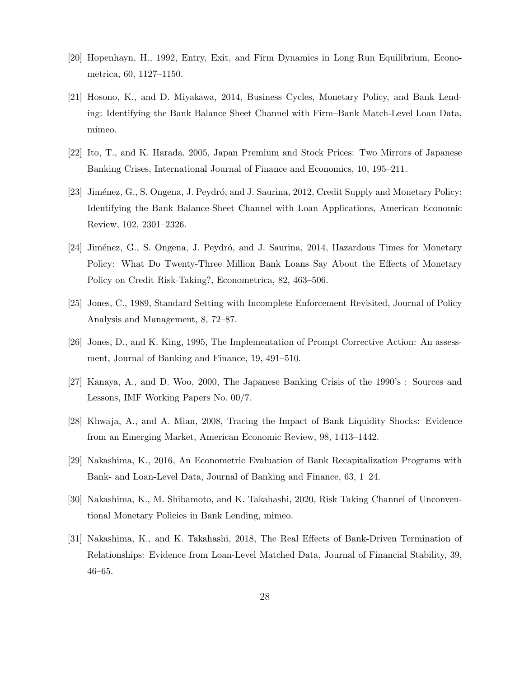- [20] Hopenhayn, H., 1992, Entry, Exit, and Firm Dynamics in Long Run Equilibrium, Econometrica, 60, 1127–1150.
- [21] Hosono, K., and D. Miyakawa, 2014, Business Cycles, Monetary Policy, and Bank Lending: Identifying the Bank Balance Sheet Channel with Firm–Bank Match-Level Loan Data, mimeo.
- [22] Ito, T., and K. Harada, 2005, Japan Premium and Stock Prices: Two Mirrors of Japanese Banking Crises, International Journal of Finance and Economics, 10, 195–211.
- [23] Jiménez, G., S. Ongena, J. Peydró, and J. Saurina, 2012, Credit Supply and Monetary Policy: Identifying the Bank Balance-Sheet Channel with Loan Applications, American Economic Review, 102, 2301–2326.
- [24] Jiménez, G., S. Ongena, J. Peydró, and J. Saurina, 2014, Hazardous Times for Monetary Policy: What Do Twenty-Three Million Bank Loans Say About the Effects of Monetary Policy on Credit Risk-Taking?, Econometrica, 82, 463–506.
- [25] Jones, C., 1989, Standard Setting with Incomplete Enforcement Revisited, Journal of Policy Analysis and Management, 8, 72–87.
- [26] Jones, D., and K. King, 1995, The Implementation of Prompt Corrective Action: An assessment, Journal of Banking and Finance, 19, 491–510.
- [27] Kanaya, A., and D. Woo, 2000, The Japanese Banking Crisis of the 1990's : Sources and Lessons, IMF Working Papers No. 00/7.
- [28] Khwaja, A., and A. Mian, 2008, Tracing the Impact of Bank Liquidity Shocks: Evidence from an Emerging Market, American Economic Review, 98, 1413–1442.
- [29] Nakashima, K., 2016, An Econometric Evaluation of Bank Recapitalization Programs with Bank- and Loan-Level Data, Journal of Banking and Finance, 63, 1–24.
- [30] Nakashima, K., M. Shibamoto, and K. Takahashi, 2020, Risk Taking Channel of Unconventional Monetary Policies in Bank Lending, mimeo.
- [31] Nakashima, K., and K. Takahashi, 2018, The Real Effects of Bank-Driven Termination of Relationships: Evidence from Loan-Level Matched Data, Journal of Financial Stability, 39, 46–65.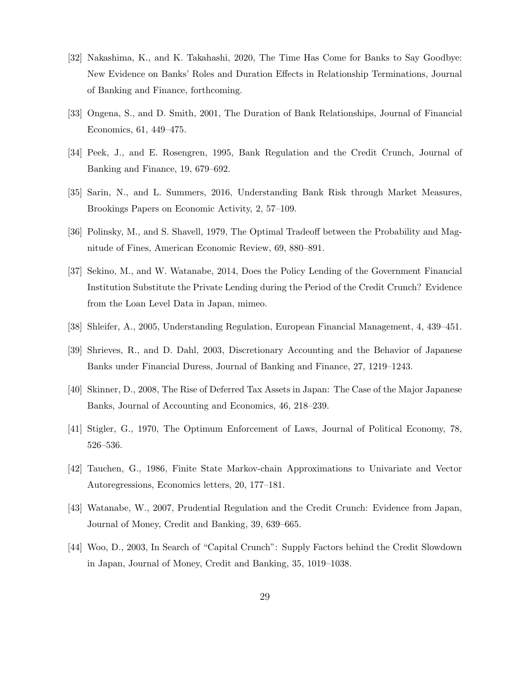- [32] Nakashima, K., and K. Takahashi, 2020, The Time Has Come for Banks to Say Goodbye: New Evidence on Banks' Roles and Duration Effects in Relationship Terminations, Journal of Banking and Finance, forthcoming.
- [33] Ongena, S., and D. Smith, 2001, The Duration of Bank Relationships, Journal of Financial Economics, 61, 449–475.
- [34] Peek, J., and E. Rosengren, 1995, Bank Regulation and the Credit Crunch, Journal of Banking and Finance, 19, 679–692.
- [35] Sarin, N., and L. Summers, 2016, Understanding Bank Risk through Market Measures, Brookings Papers on Economic Activity, 2, 57–109.
- [36] Polinsky, M., and S. Shavell, 1979, The Optimal Tradeoff between the Probability and Magnitude of Fines, American Economic Review, 69, 880–891.
- [37] Sekino, M., and W. Watanabe, 2014, Does the Policy Lending of the Government Financial Institution Substitute the Private Lending during the Period of the Credit Crunch? Evidence from the Loan Level Data in Japan, mimeo.
- [38] Shleifer, A., 2005, Understanding Regulation, European Financial Management, 4, 439–451.
- [39] Shrieves, R., and D. Dahl, 2003, Discretionary Accounting and the Behavior of Japanese Banks under Financial Duress, Journal of Banking and Finance, 27, 1219–1243.
- [40] Skinner, D., 2008, The Rise of Deferred Tax Assets in Japan: The Case of the Major Japanese Banks, Journal of Accounting and Economics, 46, 218–239.
- [41] Stigler, G., 1970, The Optimum Enforcement of Laws, Journal of Political Economy, 78, 526–536.
- [42] Tauchen, G., 1986, Finite State Markov-chain Approximations to Univariate and Vector Autoregressions, Economics letters, 20, 177–181.
- [43] Watanabe, W., 2007, Prudential Regulation and the Credit Crunch: Evidence from Japan, Journal of Money, Credit and Banking, 39, 639–665.
- [44] Woo, D., 2003, In Search of "Capital Crunch": Supply Factors behind the Credit Slowdown in Japan, Journal of Money, Credit and Banking, 35, 1019–1038.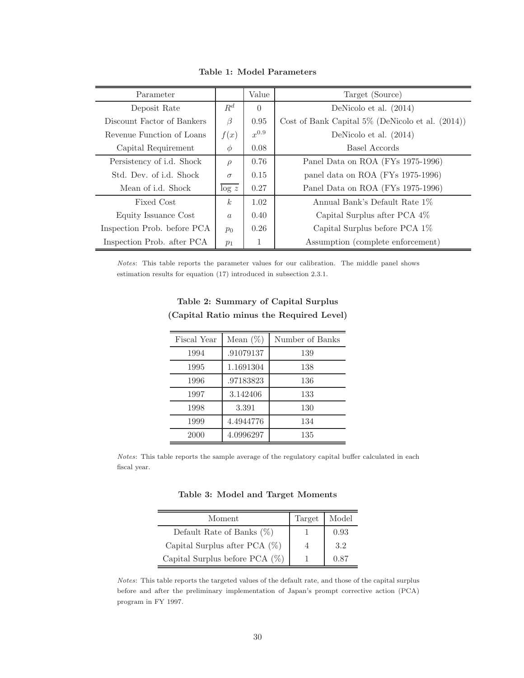| Parameter                   |                        | Value     | Target (Source)                                        |  |  |  |  |
|-----------------------------|------------------------|-----------|--------------------------------------------------------|--|--|--|--|
| Deposit Rate                | $R^d$                  | $\Omega$  | DeNicolo et al. $(2014)$                               |  |  |  |  |
| Discount Factor of Bankers  | $\beta$                | 0.95      | Cost of Bank Capital $5\%$ (DeNicolo et al. $(2014)$ ) |  |  |  |  |
| Revenue Function of Loans   | f(x)                   | $x^{0.9}$ | DeNicolo et al. (2014)                                 |  |  |  |  |
| Capital Requirement         | $\phi$                 | 0.08      | Basel Accords                                          |  |  |  |  |
| Persistency of i.d. Shock   | $\rho$                 | 0.76      | Panel Data on ROA (FYs 1975-1996)                      |  |  |  |  |
| Std. Dev. of i.d. Shock     | $\sigma$               | 0.15      | panel data on ROA (FYs 1975-1996)                      |  |  |  |  |
| Mean of i.d. Shock          | $\log z$               | 0.27      | Panel Data on ROA (FYs 1975-1996)                      |  |  |  |  |
| Fixed Cost                  | k <sub>i</sub><br>1.02 |           | Annual Bank's Default Rate 1\%                         |  |  |  |  |
| Equity Issuance Cost        | $\alpha$               | 0.40      | Capital Surplus after PCA 4\%                          |  |  |  |  |
| Inspection Prob. before PCA | $p_0$                  | 0.26      | Capital Surplus before PCA 1\%                         |  |  |  |  |
| Inspection Prob. after PCA  | $p_1$                  | 1         | Assumption (complete enforcement)                      |  |  |  |  |

Table 1: Model Parameters

Notes: This table reports the parameter values for our calibration. The middle panel shows estimation results for equation (17) introduced in subsection 2.3.1.

| Fiscal Year | Mean $(\%)$ | Number of Banks |
|-------------|-------------|-----------------|
| 1994        | .91079137   | 139             |
| 1995        | 1.1691304   | 138             |
| 1996        | .97183823   | 136             |
| 1997        | 3.142406    | 133             |
| 1998        | 3.391       | 130             |
| 1999        | 4.4944776   | 134             |
| 2000        | 4.0996297   | 135             |

Table 2: Summary of Capital Surplus (Capital Ratio minus the Required Level)

Notes: This table reports the sample average of the regulatory capital buffer calculated in each fiscal year.

Table 3: Model and Target Moments

| Moment                            | Target | Model |
|-----------------------------------|--------|-------|
| Default Rate of Banks $(\%)$      |        | 0.93  |
| Capital Surplus after PCA $(\%)$  | 4      | 3.2   |
| Capital Surplus before PCA $(\%)$ |        | 0.87  |

Notes: This table reports the targeted values of the default rate, and those of the capital surplus before and after the preliminary implementation of Japan's prompt corrective action (PCA) program in FY 1997.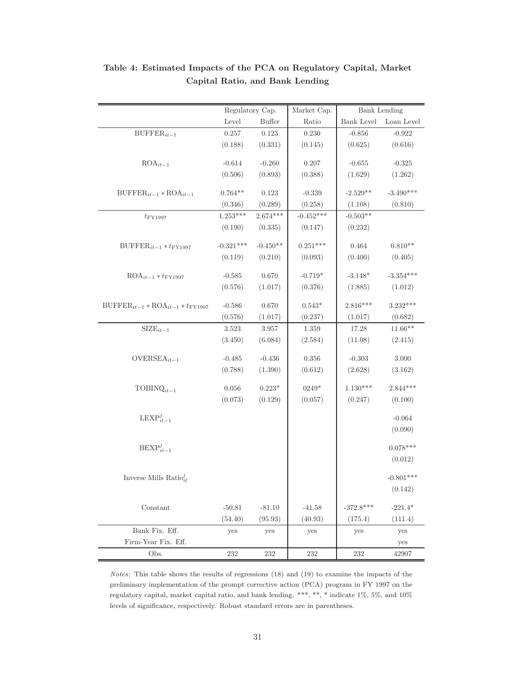|                                                                | Regulatory Cap.     |               | Market Cap. |                      | <b>Bank Lending</b> |
|----------------------------------------------------------------|---------------------|---------------|-------------|----------------------|---------------------|
|                                                                | Level               | <b>Buffer</b> | Ratio       | Bank Level           | Loan Level          |
| $\text{BUFFER}_{it-1}$                                         | 0.257               | $0.123\,$     | 0.230       | $-0.856$             | $-0.922$            |
|                                                                | (0.188)             | (0.331)       | (0.145)     | (0.625)              | (0.616)             |
|                                                                |                     |               |             |                      |                     |
| $ROA_{it-1}$                                                   | $-0.614$            | $-0.260$      | 0.207       | $-0.655$             | $-0.325$            |
|                                                                | (0.506)             | (0.893)       | (0.388)     | (1.629)              | (1.262)             |
| $\text{BUFFER}_{it-1} * \text{ROA}_{it-1}$                     | $0.764**$           | 0.123         | $-0.339$    | $-2.529**$           | $-3.490***$         |
|                                                                | (0.346)             | (0.289)       | (0.258)     | (1.108)              | (0.810)             |
| $t_{\rm FY1997}$                                               | $1.253***$          | $2.674***$    | $-0.452***$ | $-0.503**$           |                     |
|                                                                | (0.190)             | (0.335)       | (0.147)     | (0.232)              |                     |
|                                                                | $-0.321***$         | $-0.450**$    | $0.251***$  | 0.464                | $0.810**$           |
| $\text{BUFFER}_{it-1} * t_{\text{FY1997}}$                     | (0.119)             | (0.210)       |             | (0.400)              |                     |
|                                                                |                     |               | (0.093)     |                      | (0.405)             |
| $ROA_{it-1} * t_{FY1997}$                                      | $-0.585$            | 0.670         | $-0.719*$   | $-3.148*$            | $-3.354***$         |
|                                                                | (0.576)             | (1.017)       | (0.376)     | (1.885)              | (1.012)             |
|                                                                |                     | 0.670         | $0.543*$    | $2.816***$           | 3.232***            |
| $\text{BUFFER}_{it-1} * \text{ROA}_{it-1} * t_{\text{FY1997}}$ | $-0.586$<br>(0.576) | (1.017)       | (0.237)     |                      | (0.682)             |
| $\text{SIZE}_{it-1}$                                           | 3.523               | 3.957         | 1.359       | (1.017)<br>$17.28\,$ | $11.66**$           |
|                                                                | (3.450)             | (6.084)       | (2.584)     | (11.08)              | (2.415)             |
|                                                                |                     |               |             |                      |                     |
| $OVERSEA_{it-1}$                                               | $-0.485$            | $-0.436$      | 0.356       | $-0.303$             | $3.000\,$           |
|                                                                | (0.788)             | (1.390)       | (0.612)     | (2.628)              | (3.162)             |
|                                                                |                     |               |             | $1.130***$           | $2.844***$          |
| $\text{TOBINQ}_{it-1}$                                         | 0.056               | $0.223*$      | $0249*$     |                      |                     |
|                                                                | (0.073)             | (0.129)       | (0.057)     | (0.247)              | (0.100)             |
| $\text{LEXP}_{it-1}^j$                                         |                     |               |             |                      | $-0.064$            |
|                                                                |                     |               |             |                      | (0.090)             |
|                                                                |                     |               |             |                      |                     |
| $\text{BEXP}_{it-1}^j$                                         |                     |               |             |                      | $0.078***$          |
|                                                                |                     |               |             |                      | (0.012)             |
| Inverse Mills Ratio $_{it}^{j}$                                |                     |               |             |                      | $-0.801***$         |
|                                                                |                     |               |             |                      | (0.142)             |
|                                                                |                     |               |             |                      |                     |
| Constant                                                       | $-50.81$            | $-81.10$      | $-41.58$    | $-372.8***$          | $-221.4*$           |
|                                                                | (54.40)             | (95.93)       | (40.93)     | (175.4)              | (111.4)             |
| Bank Fix. Eff.                                                 | yes                 | yes           | yes         | yes                  | yes                 |
| Firm-Year Fix. Eff.                                            |                     |               |             |                      | yes                 |
| Obs.                                                           | 232                 | 232           | 232         | 232                  | 42907               |

Table 4: Estimated Impacts of the PCA on Regulatory Capital, Market Capital Ratio, and Bank Lending

Notes: This table shows the results of regressions (18) and (19) to examine the impacts of the preliminary implementation of the prompt corrective action (PCA) program in FY 1997 on the regulatory capital, market capital ratio, and bank lending. \*\*\*, \*\*, \* indicate 1%, 5%, and 10% levels of significance, respectively. Robust standard errors are in parentheses.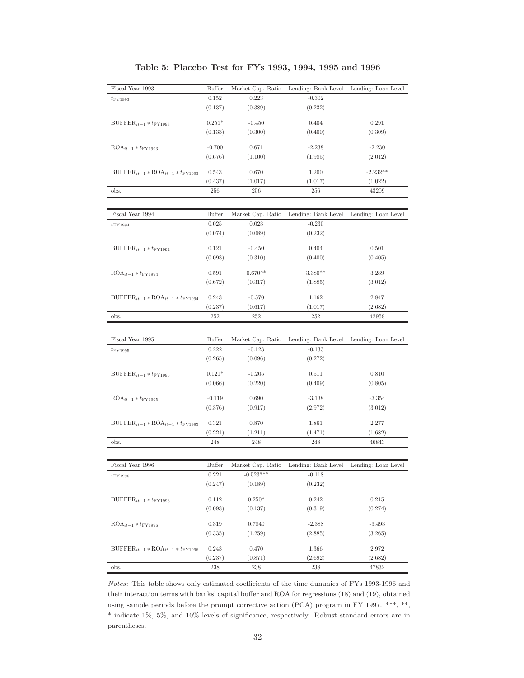| Fiscal Year 1993                                               | Buffer         | Market Cap. Ratio | Lending: Bank Level                                       | Lending: Loan Level |
|----------------------------------------------------------------|----------------|-------------------|-----------------------------------------------------------|---------------------|
| $t_{\rm FY1993}$                                               | 0.152          | 0.223             | $-0.302$                                                  |                     |
|                                                                | (0.137)        | (0.389)           | (0.232)                                                   |                     |
| $\text{BUFFER}_{it-1} * t_{\text{FY1993}}$                     | $0.251*$       | $-0.450$          | 0.404                                                     | 0.291               |
|                                                                | (0.133)        | (0.300)           | (0.400)                                                   | (0.309)             |
|                                                                |                |                   |                                                           |                     |
| $ROA_{it-1} * t$ FY1993                                        | $-0.700$       | 0.671             | $-2.238$                                                  | $-2.230$            |
|                                                                | (0.676)        | (1.100)           | (1.985)                                                   | (2.012)             |
| $BUFFER_{it-1} * ROA_{it-1} * t_{FY1993}$                      | 0.543          | 0.670             | 1.200                                                     | $-2.232**$          |
|                                                                | (0.437)        | (1.017)           | (1.017)                                                   | (1.022)             |
| obs.                                                           | 256            | 256               | 256                                                       | 43209               |
|                                                                |                |                   |                                                           |                     |
| Fiscal Year 1994                                               | Buffer         | Market Cap. Ratio | Lending: Bank Level                                       | Lending: Loan Level |
| $t_{\rm FY1994}$                                               | 0.025          | 0.023             | $-0.230$                                                  |                     |
|                                                                | (0.074)        | (0.089)           | (0.232)                                                   |                     |
| $\text{BUFFER}_{it-1} * t_{\text{FY1994}}$                     | 0.121          | $-0.450$          | 0.404                                                     | 0.501               |
|                                                                | (0.093)        | (0.310)           | (0.400)                                                   | (0.405)             |
| $ROA_{it-1} * t$ FY1994                                        | 0.591          | $0.670**$         | $3.380**$                                                 | 3.289               |
|                                                                | (0.672)        | (0.317)           | (1.885)                                                   | (3.012)             |
|                                                                |                |                   |                                                           |                     |
| $\text{BUFFER}_{it-1} * \text{ROA}_{it-1} * t_{\text{FY1994}}$ | 0.243          | $-0.570$          | 1.162                                                     | 2.847               |
|                                                                | (0.237)<br>252 | (0.617)<br>252    | (1.017)<br>252                                            | (2.682)<br>42959    |
| obs.                                                           |                |                   |                                                           |                     |
| Fiscal Year 1995                                               | Buffer         | Market Cap. Ratio | Lending: Bank Level                                       | Lending: Loan Level |
| $t_{\rm FY1995}$                                               | 0.222          | $-0.123$          | $-0.133$                                                  |                     |
|                                                                | (0.265)        | (0.096)           | (0.272)                                                   |                     |
|                                                                |                |                   |                                                           |                     |
| $\text{BUFFER}_{it-1} * t_{\text{FY1995}}$                     | $0.121*$       | $-0.205$          | 0.511                                                     | 0.810               |
|                                                                | (0.066)        | (0.220)           | (0.409)                                                   | (0.805)             |
| $ROA_{it-1} * t_{FY1995}$                                      | $-0.119$       | 0.690             | $-3.138$                                                  | $-3.354$            |
|                                                                | (0.376)        | (0.917)           | (2.972)                                                   | (3.012)             |
| $\text{BUFFER}_{it-1} * \text{ROA}_{it-1} * t_{\text{FY1995}}$ | 0.321          | 0.870             | 1.861                                                     | 2.277               |
|                                                                | (0.221)        | (1.211)           | (1.471)                                                   | (1.682)             |
| obs.                                                           | 248            | 248               | 248                                                       | 46843               |
|                                                                |                |                   |                                                           |                     |
| Fiscal Year 1996                                               | Buffer         |                   | Market Cap. Ratio Lending: Bank Level Lending: Loan Level |                     |
| $t_{\rm FY1996}$                                               | 0.221          | $-0.523***$       | $-0.118$                                                  |                     |
|                                                                | (0.247)        | (0.189)           | (0.232)                                                   |                     |
| $BUFFER_{it-1} * t_{FY1996}$                                   | 0.112          | $0.250*$          | 0.242                                                     | 0.215               |
|                                                                | (0.093)        | (0.137)           | (0.319)                                                   | (0.274)             |
|                                                                |                |                   |                                                           |                     |
| $ROA_{it-1} * t_{FY1996}$                                      | 0.319          | 0.7840            | $-2.388$                                                  | $-3.493$            |
|                                                                | (0.335)        | (1.259)           | (2.885)                                                   | (3.265)             |
| $\text{BUFFER}_{it-1} * \text{ROA}_{it-1} * t_{\text{FY1996}}$ | 0.243          | 0.470             | 1.366                                                     | 2.972               |
|                                                                | (0.237)        | (0.871)           | (2.692)                                                   | (2.682)             |
| obs.                                                           | 238            | 238               | 238                                                       | 47832               |

Table 5: Placebo Test for FYs 1993, 1994, 1995 and 1996

Notes: This table shows only estimated coefficients of the time dummies of FYs 1993-1996 and their interaction terms with banks' capital buffer and ROA for regressions (18) and (19), obtained using sample periods before the prompt corrective action (PCA) program in FY 1997. \*\*\*, \*\*, \* indicate 1%, 5%, and 10% levels of significance, respectively. Robust standard errors are in parentheses.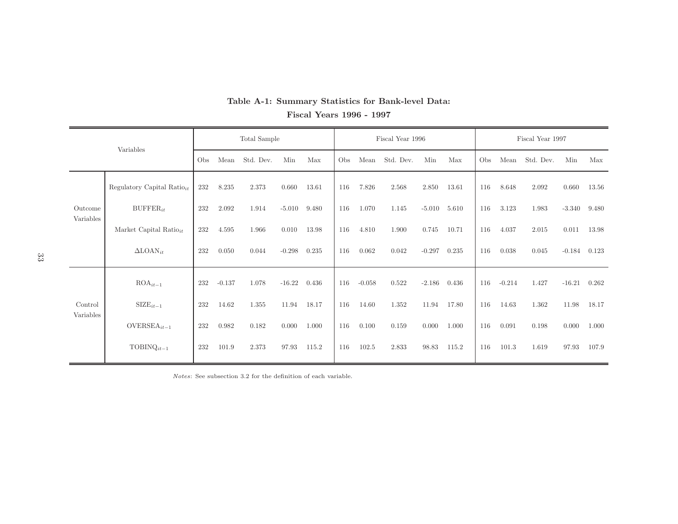| Variables |                                        | Total Sample |          |           |          |       | Fiscal Year 1996 |          |           |          |       | Fiscal Year 1997 |          |           |          |       |
|-----------|----------------------------------------|--------------|----------|-----------|----------|-------|------------------|----------|-----------|----------|-------|------------------|----------|-----------|----------|-------|
|           |                                        | Obs          | Mean     | Std. Dev. | Min      | Max   | O <sub>bs</sub>  | Mean     | Std. Dev. | Min      | Max   | Obs              | Mean     | Std. Dev. | Min      | Max   |
|           | Regulatory Capital Ratio <sub>it</sub> | 232          | 8.235    | 2.373     | 0.660    | 13.61 | 116              | 7.826    | 2.568     | 2.850    | 13.61 | 116              | 8.648    | 2.092     | 0.660    | 13.56 |
| Outcome   | $BUFFER_{it}$                          | 232          | 2.092    | 1.914     | $-5.010$ | 9.480 | 116              | 1.070    | 1.145     | $-5.010$ | 5.610 | 116              | 3.123    | 1.983     | $-3.340$ | 9.480 |
| Variables | Market Capital Ratio $it$              | 232          | 4.595    | 1.966     | 0.010    | 13.98 | 116              | 4.810    | 1.900     | 0.745    | 10.71 | 116              | 4.037    | 2.015     | 0.011    | 13.98 |
|           | $\Delta$ LOAN <sub>it</sub>            | 232          | 0.050    | 0.044     | $-0.298$ | 0.235 | 116              | 0.062    | 0.042     | $-0.297$ | 0.235 | 116              | 0.038    | 0.045     | $-0.184$ | 0.123 |
|           | $ROA_{it-1}$                           | 232          | $-0.137$ | 1.078     | $-16.22$ | 0.436 | 116              | $-0.058$ | 0.522     | $-2.186$ | 0.436 | 116              | $-0.214$ | 1.427     | $-16.21$ | 0.262 |
| Control   | $\text{SIZE}_{it-1}$                   | 232          | 14.62    | 1.355     | 11.94    | 18.17 | 116              | 14.60    | 1.352     | 11.94    | 17.80 | 116              | 14.63    | 1.362     | 11.98    | 18.17 |
| Variables | OVERSEA <sub>it-1</sub>                | 232          | 0.982    | 0.182     | 0.000    | 1.000 | 116              | 0.100    | 0.159     | 0.000    | 1.000 | 116              | 0.091    | 0.198     | 0.000    | 1.000 |
|           | $TOBINQ_{it-1}$                        | 232          | 101.9    | 2.373     | 97.93    | 115.2 | 116              | 102.5    | 2.833     | 98.83    | 115.2 | 116              | 101.3    | 1.619     | 97.93    | 107.9 |

## Table A-1: Summary Statistics for Bank-level Data: Fiscal Years <sup>1996</sup> - <sup>1997</sup>

Notes: See subsection 3.2 for the definition of each variable.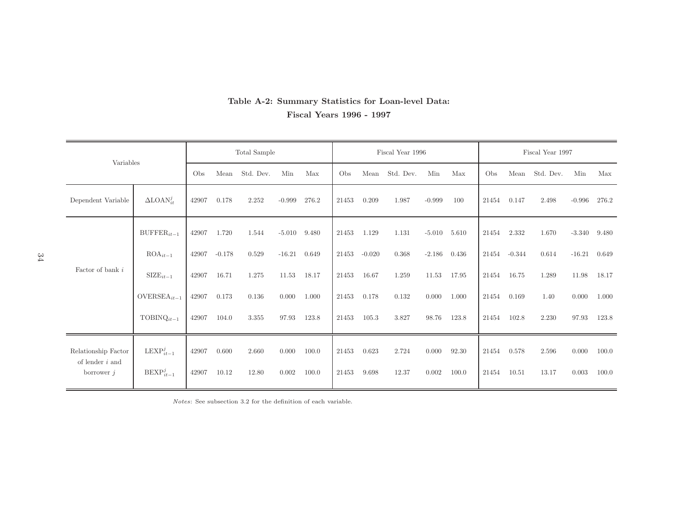### Table A-2: Summary Statistics for Loan-level Data: Fiscal Years <sup>1996</sup> - <sup>1997</sup>

|                                          | Total Sample            |       |          |           |          | Fiscal Year 1996 |       |          |           | Fiscal Year 1997 |       |       |          |           |          |       |
|------------------------------------------|-------------------------|-------|----------|-----------|----------|------------------|-------|----------|-----------|------------------|-------|-------|----------|-----------|----------|-------|
| Variables                                |                         | Obs   | Mean     | Std. Dev. | Min      | Max              | Obs   | Mean     | Std. Dev. | Min              | Max   | Obs   | Mean     | Std. Dev. | Min      | Max   |
| Dependent Variable                       | $\Delta$ LOAN $_{it}^j$ | 42907 | 0.178    | 2.252     | $-0.999$ | 276.2            | 21453 | 0.209    | 1.987     | $-0.999$         | 100   | 21454 | 0.147    | 2.498     | $-0.996$ | 276.2 |
|                                          | $\text{BUFFER}_{it-1}$  | 42907 | 1.720    | 1.544     | $-5.010$ | 9.480            | 21453 | 1.129    | 1.131     | $-5.010$         | 5.610 | 21454 | 2.332    | 1.670     | $-3.340$ | 9.480 |
|                                          | $ROA_{it-1}$            | 42907 | $-0.178$ | 0.529     | $-16.21$ | 0.649            | 21453 | $-0.020$ | 0.368     | $-2.186$         | 0.436 | 21454 | $-0.344$ | 0.614     | $-16.21$ | 0.649 |
| Factor of bank i                         | $\text{SIZE}_{it-1}$    | 42907 | 16.71    | 1.275     | 11.53    | 18.17            | 21453 | 16.67    | 1.259     | 11.53            | 17.95 | 21454 | 16.75    | 1.289     | 11.98    | 18.17 |
|                                          | $OVERSEA_{it-1}$        | 42907 | 0.173    | 0.136     | 0.000    | 1.000            | 21453 | 0.178    | 0.132     | 0.000            | 1.000 | 21454 | 0.169    | 1.40      | 0.000    | 1.000 |
|                                          | $TOBINQ_{it-1}$         | 42907 | 104.0    | 3.355     | 97.93    | 123.8            | 21453 | 105.3    | 3.827     | 98.76            | 123.8 | 21454 | 102.8    | 2.230     | 97.93    | 123.8 |
| Relationship Factor<br>of lender $i$ and | $\text{LEXP}_{it-1}^j$  | 42907 | 0.600    | 2.660     | 0.000    | 100.0            | 21453 | 0.623    | 2.724     | 0.000            | 92.30 | 21454 | 0.578    | 2.596     | 0.000    | 100.0 |
| borrower $j$                             | $\text{BEXP}_{it-1}^j$  | 42907 | 10.12    | 12.80     | 0.002    | 100.0            | 21453 | 9.698    | 12.37     | 0.002            | 100.0 | 21454 | 10.51    | 13.17     | 0.003    | 100.0 |

Notes: See subsection 3.2 for the definition of each variable.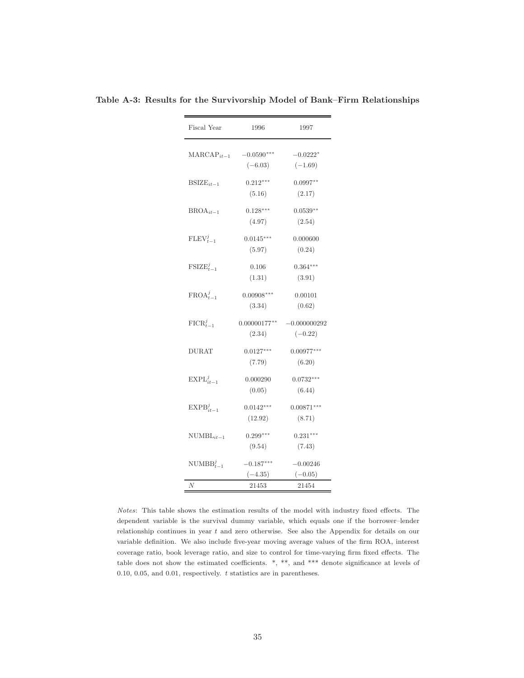| Fiscal Year            | 1996                      | 1997                        |  |  |  |  |
|------------------------|---------------------------|-----------------------------|--|--|--|--|
| $\text{MARCAP}_{it-1}$ | $-0.0590***$<br>$(-6.03)$ | $-0.0222*$<br>$(-1.69)$     |  |  |  |  |
| $BSIZE_{it-1}$         | $0.212***$<br>(5.16)      | $0.0997**$<br>(2.17)        |  |  |  |  |
| $BROA_{it-1}$          | $0.128***$<br>(4.97)      | $0.0539**$<br>(2.54)        |  |  |  |  |
| $\text{FLEV}_{t-1}^j$  | $0.0145***$<br>(5.97)     | 0.000600<br>(0.24)          |  |  |  |  |
| $\text{FSIZE}_{t-1}^j$ | 0.106<br>(1.31)           | $0.364***$<br>(3.91)        |  |  |  |  |
| $FROA_{t-1}^j$         | $0.00908***$<br>(3.34)    | 0.00101<br>(0.62)           |  |  |  |  |
| $\text{FICR}_{t-1}^j$  | $0.00000177**$<br>(2.34)  | $-0.000000292$<br>$(-0.22)$ |  |  |  |  |
| <b>DURAT</b>           | $0.0127***$<br>(7.79)     | $0.00977***$<br>(6.20)      |  |  |  |  |
| $\text{EXPL}_{it-1}^j$ | 0.000290<br>(0.05)        | $0.0732***$<br>(6.44)       |  |  |  |  |
| $EXPB_{it-1}^j$        | $0.0142***$<br>(12.92)    | $0.00871***$<br>(8.71)      |  |  |  |  |
| $NUMBLit-1$            | $0.299***$<br>(9.54)      | $0.231***$<br>(7.43)        |  |  |  |  |
| $\text{NUMBB}_{t-1}^j$ | $-0.187***$<br>$(-4.35)$  | $-0.00246$<br>$(-0.05)$     |  |  |  |  |
| N                      | 21453                     | 21454                       |  |  |  |  |

Table A-3: Results for the Survivorship Model of Bank–Firm Relationships

Notes: This table shows the estimation results of the model with industry fixed effects. The dependent variable is the survival dummy variable, which equals one if the borrower–lender relationship continues in year t and zero otherwise. See also the Appendix for details on our variable definition. We also include five-year moving average values of the firm ROA, interest coverage ratio, book leverage ratio, and size to control for time-varying firm fixed effects. The table does not show the estimated coefficients. \*, \*\*, and \*\*\* denote significance at levels of 0.10, 0.05, and 0.01, respectively. t statistics are in parentheses.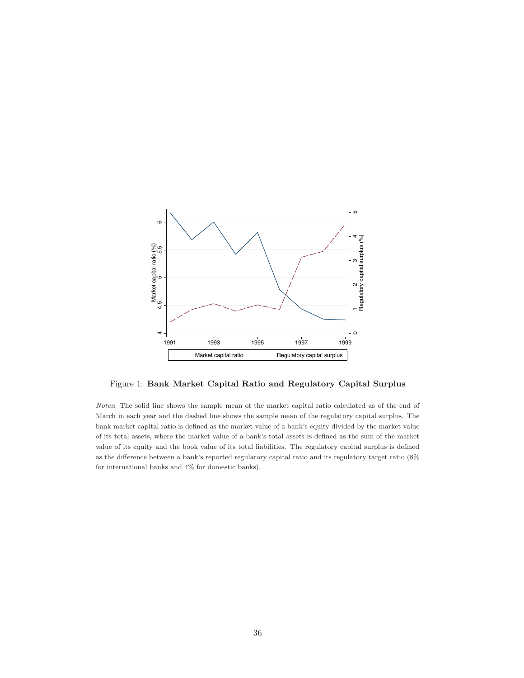

Figure 1: Bank Market Capital Ratio and Regulatory Capital Surplus

Notes: The solid line shows the sample mean of the market capital ratio calculated as of the end of March in each year and the dashed line shows the sample mean of the regulatory capital surplus. The bank market capital ratio is defined as the market value of a bank's equity divided by the market value of its total assets, where the market value of a bank's total assets is defined as the sum of the market value of its equity and the book value of its total liabilities. The regulatory capital surplus is defined as the difference between a bank's reported regulatory capital ratio and its regulatory target ratio (8% for international banks and 4% for domestic banks).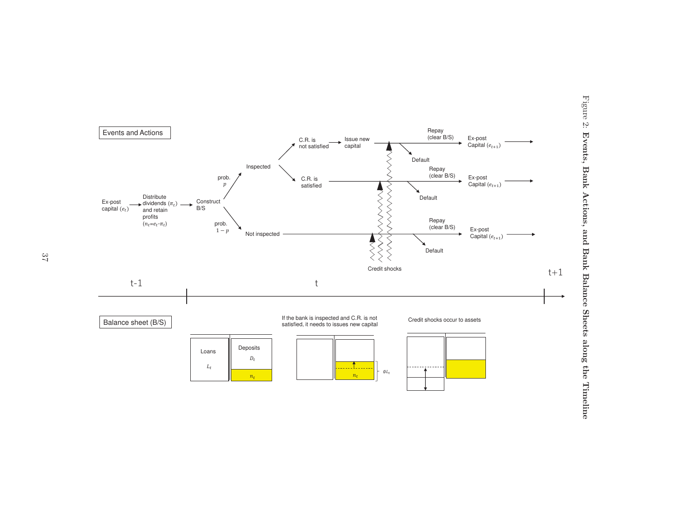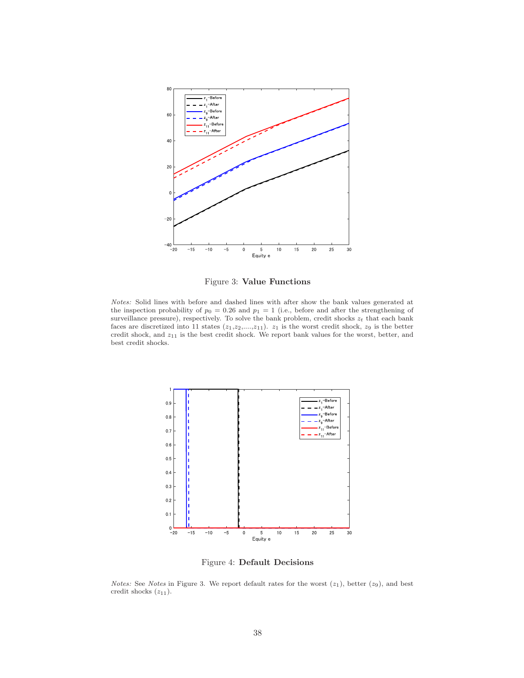

Figure 3: Value Functions

Notes: Solid lines with before and dashed lines with after show the bank values generated at the inspection probability of  $p_0 = 0.26$  and  $p_1 = 1$  (i.e., before and after the strengthening of surveillance pressure), respectively. To solve the bank problem, credit shocks  $z_t$  that each bank faces are discretized into 11 states  $(z_1,z_2,...,z_{11})$ .  $z_1$  is the worst credit shock,  $z_9$  is the better credit shock, and  $z_{11}$  is the best credit shock. We report bank values for the worst, better, and best credit shocks.



Figure 4: Default Decisions

*Notes:* See *Notes* in Figure 3. We report default rates for the worst  $(z_1)$ , better  $(z_9)$ , and best credit shocks  $(z_{11})$ .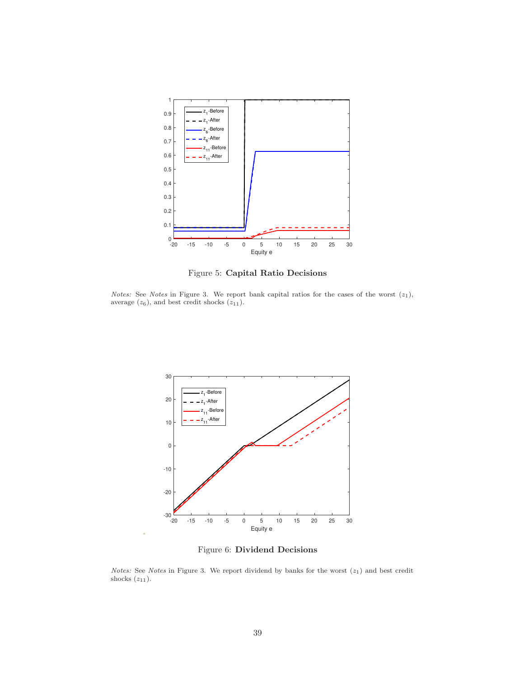

Figure 5: Capital Ratio Decisions

Notes: See Notes in Figure 3. We report bank capital ratios for the cases of the worst  $(z_1)$ , average  $(z_6)$ , and best credit shocks  $(z_{11})$ .



Figure 6: Dividend Decisions

*Notes:* See *Notes* in Figure 3. We report dividend by banks for the worst  $(z_1)$  and best credit shocks  $(z_{11})$ .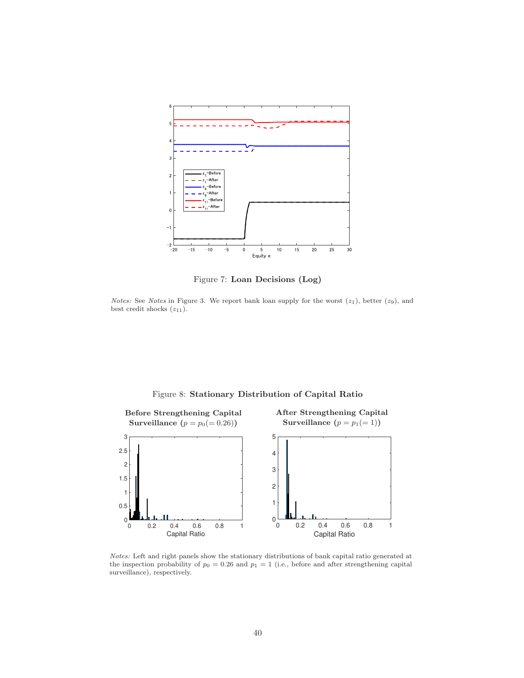

Figure 7: Loan Decisions (Log)

Notes: See Notes in Figure 3. We report bank loan supply for the worst  $(z_1)$ , better  $(z_9)$ , and best credit shocks  $(z_{11})$ .

Figure 8: Stationary Distribution of Capital Ratio



Notes: Left and right panels show the stationary distributions of bank capital ratio generated at the inspection probability of  $p_0 = 0.26$  and  $p_1 = 1$  (i.e., before and after strengthening capital surveillance), respectively.